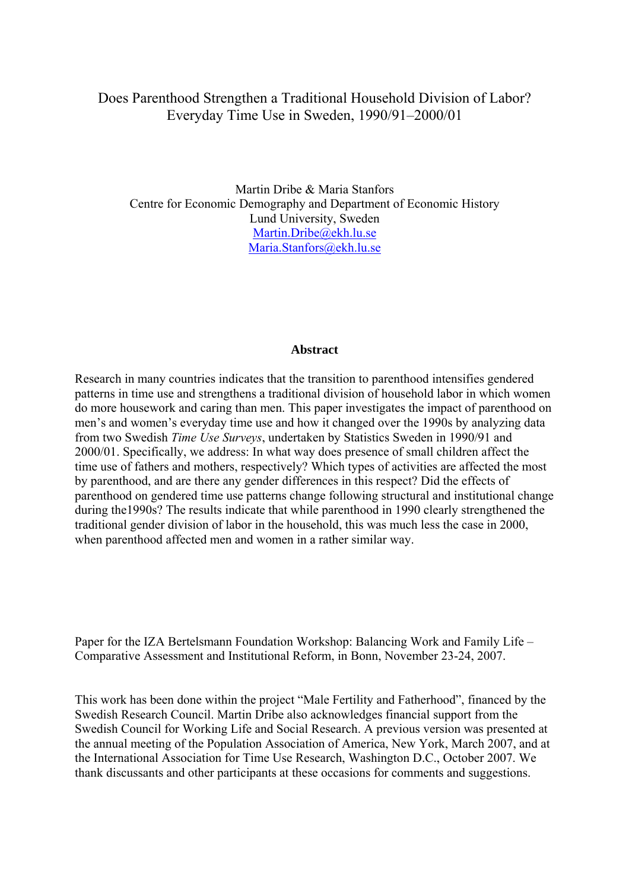# Does Parenthood Strengthen a Traditional Household Division of Labor? Everyday Time Use in Sweden, 1990/91–2000/01

Martin Dribe & Maria Stanfors Centre for Economic Demography and Department of Economic History Lund University, Sweden Martin.Dribe@ekh.lu.se Maria.Stanfors@ekh.lu.se

#### **Abstract**

Research in many countries indicates that the transition to parenthood intensifies gendered patterns in time use and strengthens a traditional division of household labor in which women do more housework and caring than men. This paper investigates the impact of parenthood on men's and women's everyday time use and how it changed over the 1990s by analyzing data from two Swedish *Time Use Surveys*, undertaken by Statistics Sweden in 1990/91 and 2000/01. Specifically, we address: In what way does presence of small children affect the time use of fathers and mothers, respectively? Which types of activities are affected the most by parenthood, and are there any gender differences in this respect? Did the effects of parenthood on gendered time use patterns change following structural and institutional change during the1990s? The results indicate that while parenthood in 1990 clearly strengthened the traditional gender division of labor in the household, this was much less the case in 2000, when parenthood affected men and women in a rather similar way.

Paper for the IZA Bertelsmann Foundation Workshop: Balancing Work and Family Life – Comparative Assessment and Institutional Reform, in Bonn, November 23-24, 2007.

This work has been done within the project "Male Fertility and Fatherhood", financed by the Swedish Research Council. Martin Dribe also acknowledges financial support from the Swedish Council for Working Life and Social Research. A previous version was presented at the annual meeting of the Population Association of America, New York, March 2007, and at the International Association for Time Use Research, Washington D.C., October 2007. We thank discussants and other participants at these occasions for comments and suggestions.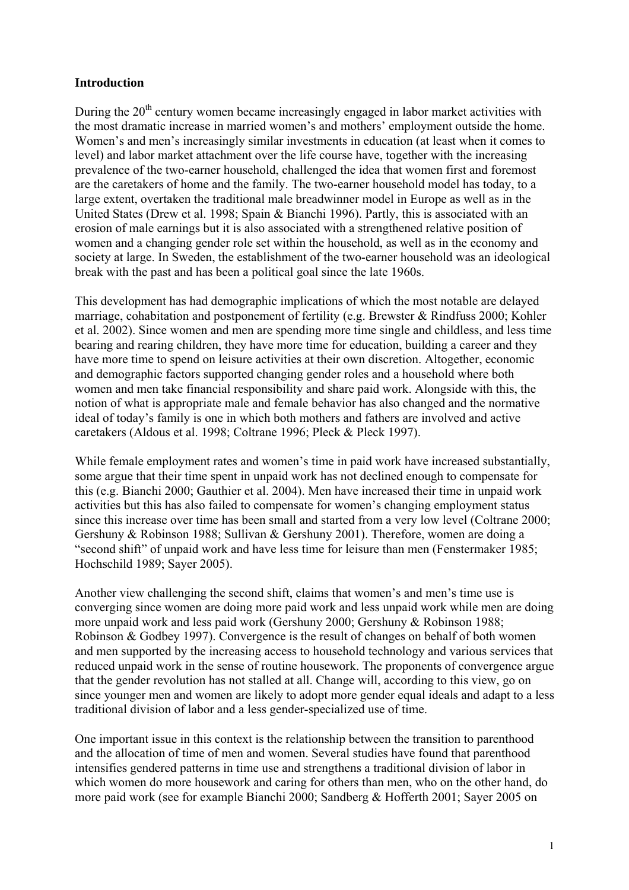### **Introduction**

During the  $20<sup>th</sup>$  century women became increasingly engaged in labor market activities with the most dramatic increase in married women's and mothers' employment outside the home. Women's and men's increasingly similar investments in education (at least when it comes to level) and labor market attachment over the life course have, together with the increasing prevalence of the two-earner household, challenged the idea that women first and foremost are the caretakers of home and the family. The two-earner household model has today, to a large extent, overtaken the traditional male breadwinner model in Europe as well as in the United States (Drew et al. 1998; Spain & Bianchi 1996). Partly, this is associated with an erosion of male earnings but it is also associated with a strengthened relative position of women and a changing gender role set within the household, as well as in the economy and society at large. In Sweden, the establishment of the two-earner household was an ideological break with the past and has been a political goal since the late 1960s.

This development has had demographic implications of which the most notable are delayed marriage, cohabitation and postponement of fertility (e.g. Brewster & Rindfuss 2000; Kohler et al. 2002). Since women and men are spending more time single and childless, and less time bearing and rearing children, they have more time for education, building a career and they have more time to spend on leisure activities at their own discretion. Altogether, economic and demographic factors supported changing gender roles and a household where both women and men take financial responsibility and share paid work. Alongside with this, the notion of what is appropriate male and female behavior has also changed and the normative ideal of today's family is one in which both mothers and fathers are involved and active caretakers (Aldous et al. 1998; Coltrane 1996; Pleck & Pleck 1997).

While female employment rates and women's time in paid work have increased substantially, some argue that their time spent in unpaid work has not declined enough to compensate for this (e.g. Bianchi 2000; Gauthier et al. 2004). Men have increased their time in unpaid work activities but this has also failed to compensate for women's changing employment status since this increase over time has been small and started from a very low level (Coltrane 2000; Gershuny & Robinson 1988; Sullivan & Gershuny 2001). Therefore, women are doing a "second shift" of unpaid work and have less time for leisure than men (Fenstermaker 1985; Hochschild 1989; Sayer 2005).

Another view challenging the second shift, claims that women's and men's time use is converging since women are doing more paid work and less unpaid work while men are doing more unpaid work and less paid work (Gershuny 2000; Gershuny & Robinson 1988; Robinson & Godbey 1997). Convergence is the result of changes on behalf of both women and men supported by the increasing access to household technology and various services that reduced unpaid work in the sense of routine housework. The proponents of convergence argue that the gender revolution has not stalled at all. Change will, according to this view, go on since younger men and women are likely to adopt more gender equal ideals and adapt to a less traditional division of labor and a less gender-specialized use of time.

One important issue in this context is the relationship between the transition to parenthood and the allocation of time of men and women. Several studies have found that parenthood intensifies gendered patterns in time use and strengthens a traditional division of labor in which women do more housework and caring for others than men, who on the other hand, do more paid work (see for example Bianchi 2000; Sandberg & Hofferth 2001; Sayer 2005 on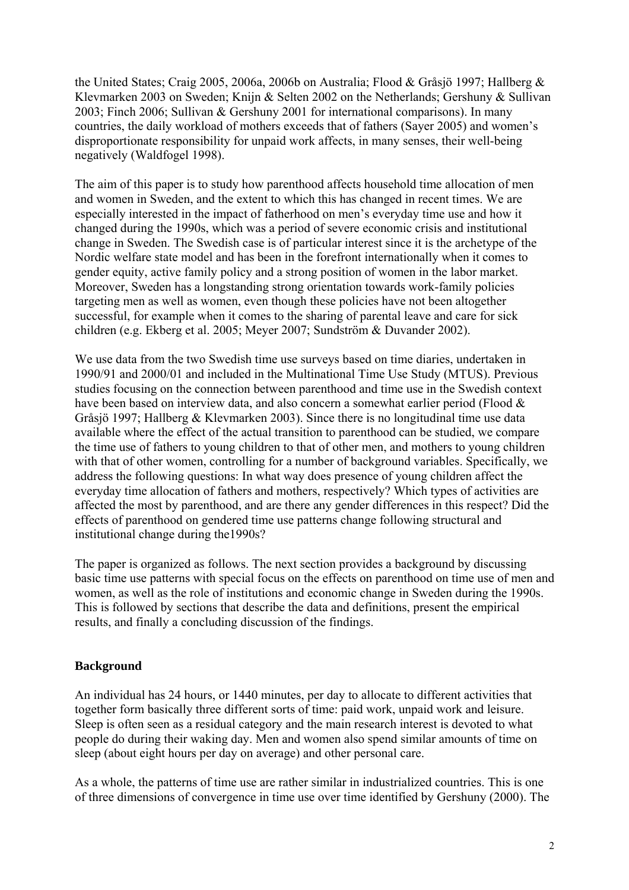the United States; Craig 2005, 2006a, 2006b on Australia; Flood & Gråsjö 1997; Hallberg & Klevmarken 2003 on Sweden; Knijn & Selten 2002 on the Netherlands; Gershuny & Sullivan 2003; Finch 2006; Sullivan & Gershuny 2001 for international comparisons). In many countries, the daily workload of mothers exceeds that of fathers (Sayer 2005) and women's disproportionate responsibility for unpaid work affects, in many senses, their well-being negatively (Waldfogel 1998).

The aim of this paper is to study how parenthood affects household time allocation of men and women in Sweden, and the extent to which this has changed in recent times. We are especially interested in the impact of fatherhood on men's everyday time use and how it changed during the 1990s, which was a period of severe economic crisis and institutional change in Sweden. The Swedish case is of particular interest since it is the archetype of the Nordic welfare state model and has been in the forefront internationally when it comes to gender equity, active family policy and a strong position of women in the labor market. Moreover, Sweden has a longstanding strong orientation towards work-family policies targeting men as well as women, even though these policies have not been altogether successful, for example when it comes to the sharing of parental leave and care for sick children (e.g. Ekberg et al. 2005; Meyer 2007; Sundström & Duvander 2002).

We use data from the two Swedish time use surveys based on time diaries, undertaken in 1990/91 and 2000/01 and included in the Multinational Time Use Study (MTUS). Previous studies focusing on the connection between parenthood and time use in the Swedish context have been based on interview data, and also concern a somewhat earlier period (Flood & Gråsjö 1997; Hallberg & Klevmarken 2003). Since there is no longitudinal time use data available where the effect of the actual transition to parenthood can be studied, we compare the time use of fathers to young children to that of other men, and mothers to young children with that of other women, controlling for a number of background variables. Specifically, we address the following questions: In what way does presence of young children affect the everyday time allocation of fathers and mothers, respectively? Which types of activities are affected the most by parenthood, and are there any gender differences in this respect? Did the effects of parenthood on gendered time use patterns change following structural and institutional change during the1990s?

The paper is organized as follows. The next section provides a background by discussing basic time use patterns with special focus on the effects on parenthood on time use of men and women, as well as the role of institutions and economic change in Sweden during the 1990s. This is followed by sections that describe the data and definitions, present the empirical results, and finally a concluding discussion of the findings.

# **Background**

An individual has 24 hours, or 1440 minutes, per day to allocate to different activities that together form basically three different sorts of time: paid work, unpaid work and leisure. Sleep is often seen as a residual category and the main research interest is devoted to what people do during their waking day. Men and women also spend similar amounts of time on sleep (about eight hours per day on average) and other personal care.

As a whole, the patterns of time use are rather similar in industrialized countries. This is one of three dimensions of convergence in time use over time identified by Gershuny (2000). The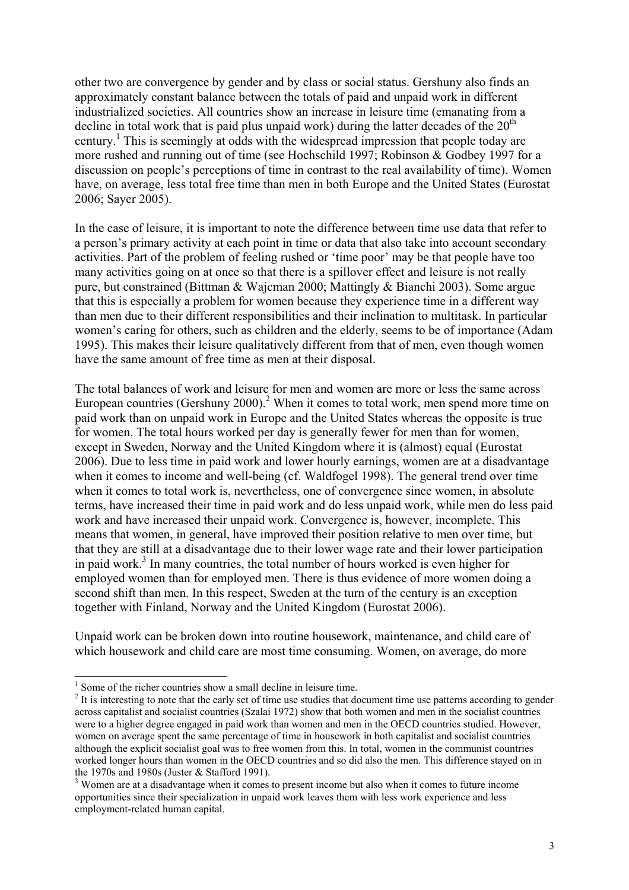other two are convergence by gender and by class or social status. Gershuny also finds an approximately constant balance between the totals of paid and unpaid work in different industrialized societies. All countries show an increase in leisure time (emanating from a decline in total work that is paid plus unpaid work) during the latter decades of the  $20<sup>th</sup>$ century.<sup>1</sup> This is seemingly at odds with the widespread impression that people today are more rushed and running out of time (see Hochschild 1997; Robinson & Godbey 1997 for a discussion on people's perceptions of time in contrast to the real availability of time). Women have, on average, less total free time than men in both Europe and the United States (Eurostat 2006; Sayer 2005).

In the case of leisure, it is important to note the difference between time use data that refer to a person's primary activity at each point in time or data that also take into account secondary activities. Part of the problem of feeling rushed or 'time poor' may be that people have too many activities going on at once so that there is a spillover effect and leisure is not really pure, but constrained (Bittman & Wajcman 2000; Mattingly & Bianchi 2003). Some argue that this is especially a problem for women because they experience time in a different way than men due to their different responsibilities and their inclination to multitask. In particular women's caring for others, such as children and the elderly, seems to be of importance (Adam 1995). This makes their leisure qualitatively different from that of men, even though women have the same amount of free time as men at their disposal.

The total balances of work and leisure for men and women are more or less the same across European countries (Gershuny 2000).<sup>2</sup> When it comes to total work, men spend more time on paid work than on unpaid work in Europe and the United States whereas the opposite is true for women. The total hours worked per day is generally fewer for men than for women, except in Sweden, Norway and the United Kingdom where it is (almost) equal (Eurostat 2006). Due to less time in paid work and lower hourly earnings, women are at a disadvantage when it comes to income and well-being (cf. Waldfogel 1998). The general trend over time when it comes to total work is, nevertheless, one of convergence since women, in absolute terms, have increased their time in paid work and do less unpaid work, while men do less paid work and have increased their unpaid work. Convergence is, however, incomplete. This means that women, in general, have improved their position relative to men over time, but that they are still at a disadvantage due to their lower wage rate and their lower participation in paid work.<sup>3</sup> In many countries, the total number of hours worked is even higher for employed women than for employed men. There is thus evidence of more women doing a second shift than men. In this respect, Sweden at the turn of the century is an exception together with Finland, Norway and the United Kingdom (Eurostat 2006).

Unpaid work can be broken down into routine housework, maintenance, and child care of which housework and child care are most time consuming. Women, on average, do more

-

<sup>&</sup>lt;sup>1</sup> Some of the richer countries show a small decline in leisure time.

 $2$  It is interesting to note that the early set of time use studies that document time use patterns according to gender across capitalist and socialist countries (Szalai 1972) show that both women and men in the socialist countries were to a higher degree engaged in paid work than women and men in the OECD countries studied. However, women on average spent the same percentage of time in housework in both capitalist and socialist countries although the explicit socialist goal was to free women from this. In total, women in the communist countries worked longer hours than women in the OECD countries and so did also the men. This difference stayed on in the 1970s and 1980s (Juster & Stafford 1991).

<sup>&</sup>lt;sup>3</sup> Women are at a disadvantage when it comes to present income but also when it comes to future income opportunities since their specialization in unpaid work leaves them with less work experience and less employment-related human capital.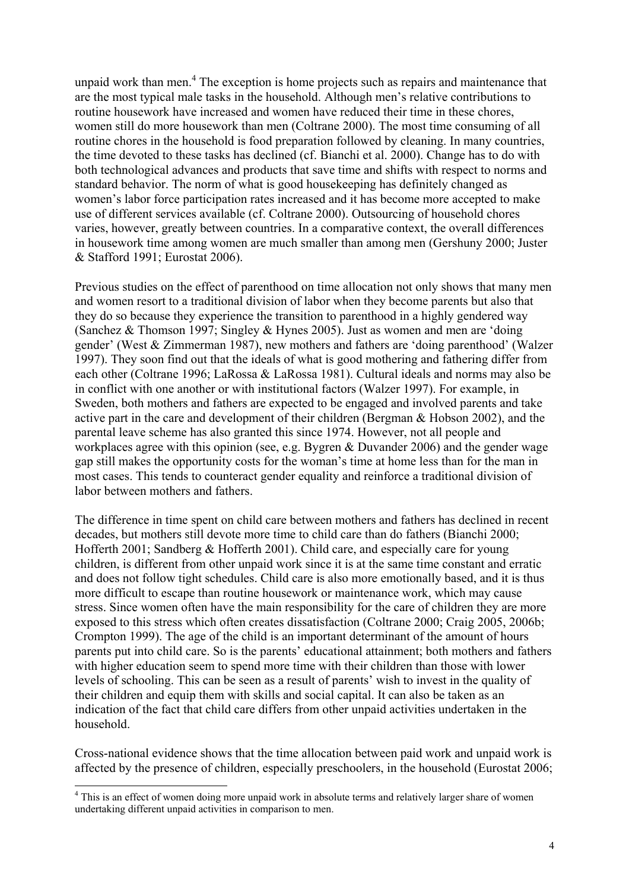unpaid work than men.<sup>4</sup> The exception is home projects such as repairs and maintenance that are the most typical male tasks in the household. Although men's relative contributions to routine housework have increased and women have reduced their time in these chores, women still do more housework than men (Coltrane 2000). The most time consuming of all routine chores in the household is food preparation followed by cleaning. In many countries, the time devoted to these tasks has declined (cf. Bianchi et al. 2000). Change has to do with both technological advances and products that save time and shifts with respect to norms and standard behavior. The norm of what is good housekeeping has definitely changed as women's labor force participation rates increased and it has become more accepted to make use of different services available (cf. Coltrane 2000). Outsourcing of household chores varies, however, greatly between countries. In a comparative context, the overall differences in housework time among women are much smaller than among men (Gershuny 2000; Juster & Stafford 1991; Eurostat 2006).

Previous studies on the effect of parenthood on time allocation not only shows that many men and women resort to a traditional division of labor when they become parents but also that they do so because they experience the transition to parenthood in a highly gendered way (Sanchez & Thomson 1997; Singley & Hynes 2005). Just as women and men are 'doing gender' (West & Zimmerman 1987), new mothers and fathers are 'doing parenthood' (Walzer 1997). They soon find out that the ideals of what is good mothering and fathering differ from each other (Coltrane 1996; LaRossa & LaRossa 1981). Cultural ideals and norms may also be in conflict with one another or with institutional factors (Walzer 1997). For example, in Sweden, both mothers and fathers are expected to be engaged and involved parents and take active part in the care and development of their children (Bergman & Hobson 2002), and the parental leave scheme has also granted this since 1974. However, not all people and workplaces agree with this opinion (see, e.g. Bygren & Duvander 2006) and the gender wage gap still makes the opportunity costs for the woman's time at home less than for the man in most cases. This tends to counteract gender equality and reinforce a traditional division of labor between mothers and fathers.

The difference in time spent on child care between mothers and fathers has declined in recent decades, but mothers still devote more time to child care than do fathers (Bianchi 2000; Hofferth 2001; Sandberg & Hofferth 2001). Child care, and especially care for young children, is different from other unpaid work since it is at the same time constant and erratic and does not follow tight schedules. Child care is also more emotionally based, and it is thus more difficult to escape than routine housework or maintenance work, which may cause stress. Since women often have the main responsibility for the care of children they are more exposed to this stress which often creates dissatisfaction (Coltrane 2000; Craig 2005, 2006b; Crompton 1999). The age of the child is an important determinant of the amount of hours parents put into child care. So is the parents' educational attainment; both mothers and fathers with higher education seem to spend more time with their children than those with lower levels of schooling. This can be seen as a result of parents' wish to invest in the quality of their children and equip them with skills and social capital. It can also be taken as an indication of the fact that child care differs from other unpaid activities undertaken in the household.

Cross-national evidence shows that the time allocation between paid work and unpaid work is affected by the presence of children, especially preschoolers, in the household (Eurostat 2006;

-

<sup>&</sup>lt;sup>4</sup> This is an effect of women doing more unpaid work in absolute terms and relatively larger share of women undertaking different unpaid activities in comparison to men.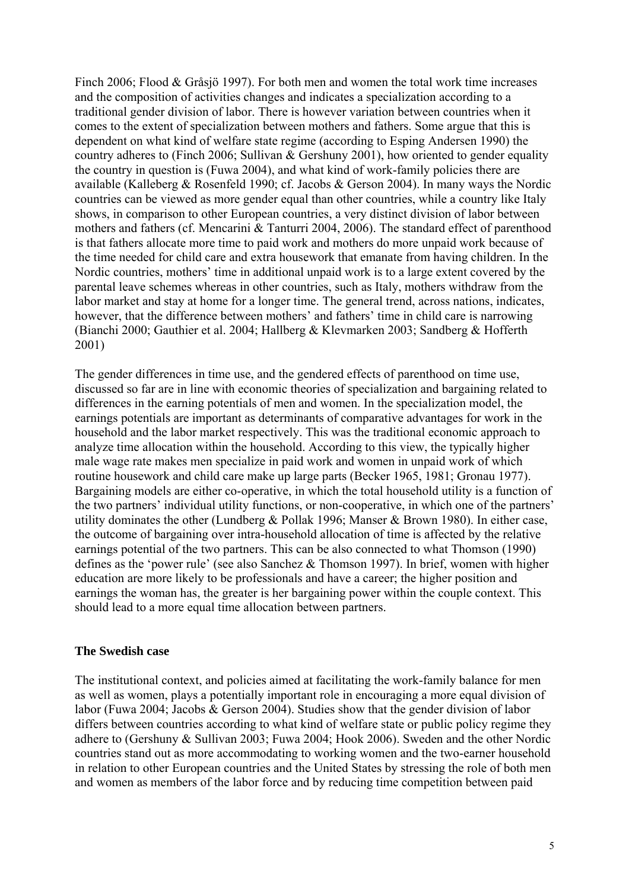Finch 2006; Flood & Gråsjö 1997). For both men and women the total work time increases and the composition of activities changes and indicates a specialization according to a traditional gender division of labor. There is however variation between countries when it comes to the extent of specialization between mothers and fathers. Some argue that this is dependent on what kind of welfare state regime (according to Esping Andersen 1990) the country adheres to (Finch 2006; Sullivan & Gershuny 2001), how oriented to gender equality the country in question is (Fuwa 2004), and what kind of work-family policies there are available (Kalleberg & Rosenfeld 1990; cf. Jacobs & Gerson 2004). In many ways the Nordic countries can be viewed as more gender equal than other countries, while a country like Italy shows, in comparison to other European countries, a very distinct division of labor between mothers and fathers (cf. Mencarini & Tanturri 2004, 2006). The standard effect of parenthood is that fathers allocate more time to paid work and mothers do more unpaid work because of the time needed for child care and extra housework that emanate from having children. In the Nordic countries, mothers' time in additional unpaid work is to a large extent covered by the parental leave schemes whereas in other countries, such as Italy, mothers withdraw from the labor market and stay at home for a longer time. The general trend, across nations, indicates, however, that the difference between mothers' and fathers' time in child care is narrowing (Bianchi 2000; Gauthier et al. 2004; Hallberg & Klevmarken 2003; Sandberg & Hofferth 2001)

The gender differences in time use, and the gendered effects of parenthood on time use, discussed so far are in line with economic theories of specialization and bargaining related to differences in the earning potentials of men and women. In the specialization model, the earnings potentials are important as determinants of comparative advantages for work in the household and the labor market respectively. This was the traditional economic approach to analyze time allocation within the household. According to this view, the typically higher male wage rate makes men specialize in paid work and women in unpaid work of which routine housework and child care make up large parts (Becker 1965, 1981; Gronau 1977). Bargaining models are either co-operative, in which the total household utility is a function of the two partners' individual utility functions, or non-cooperative, in which one of the partners' utility dominates the other (Lundberg & Pollak 1996; Manser & Brown 1980). In either case, the outcome of bargaining over intra-household allocation of time is affected by the relative earnings potential of the two partners. This can be also connected to what Thomson (1990) defines as the 'power rule' (see also Sanchez & Thomson 1997). In brief, women with higher education are more likely to be professionals and have a career; the higher position and earnings the woman has, the greater is her bargaining power within the couple context. This should lead to a more equal time allocation between partners.

# **The Swedish case**

The institutional context, and policies aimed at facilitating the work-family balance for men as well as women, plays a potentially important role in encouraging a more equal division of labor (Fuwa 2004; Jacobs & Gerson 2004). Studies show that the gender division of labor differs between countries according to what kind of welfare state or public policy regime they adhere to (Gershuny & Sullivan 2003; Fuwa 2004; Hook 2006). Sweden and the other Nordic countries stand out as more accommodating to working women and the two-earner household in relation to other European countries and the United States by stressing the role of both men and women as members of the labor force and by reducing time competition between paid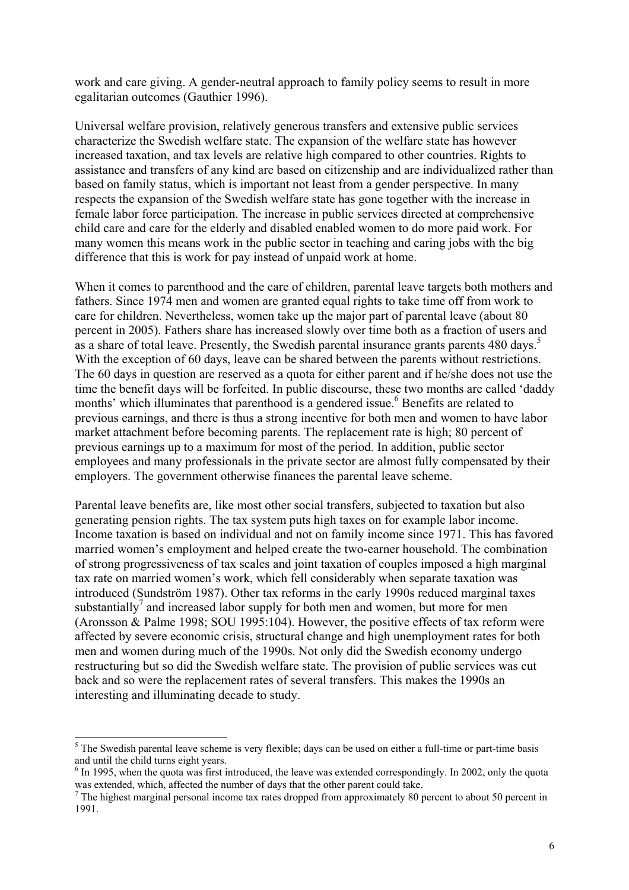work and care giving. A gender-neutral approach to family policy seems to result in more egalitarian outcomes (Gauthier 1996).

Universal welfare provision, relatively generous transfers and extensive public services characterize the Swedish welfare state. The expansion of the welfare state has however increased taxation, and tax levels are relative high compared to other countries. Rights to assistance and transfers of any kind are based on citizenship and are individualized rather than based on family status, which is important not least from a gender perspective. In many respects the expansion of the Swedish welfare state has gone together with the increase in female labor force participation. The increase in public services directed at comprehensive child care and care for the elderly and disabled enabled women to do more paid work. For many women this means work in the public sector in teaching and caring jobs with the big difference that this is work for pay instead of unpaid work at home.

When it comes to parenthood and the care of children, parental leave targets both mothers and fathers. Since 1974 men and women are granted equal rights to take time off from work to care for children. Nevertheless, women take up the major part of parental leave (about 80 percent in 2005). Fathers share has increased slowly over time both as a fraction of users and as a share of total leave. Presently, the Swedish parental insurance grants parents 480 days.<sup>5</sup> With the exception of 60 days, leave can be shared between the parents without restrictions. The 60 days in question are reserved as a quota for either parent and if he/she does not use the time the benefit days will be forfeited. In public discourse, these two months are called 'daddy months' which illuminates that parenthood is a gendered issue.<sup>6</sup> Benefits are related to previous earnings, and there is thus a strong incentive for both men and women to have labor market attachment before becoming parents. The replacement rate is high; 80 percent of previous earnings up to a maximum for most of the period. In addition, public sector employees and many professionals in the private sector are almost fully compensated by their employers. The government otherwise finances the parental leave scheme.

Parental leave benefits are, like most other social transfers, subjected to taxation but also generating pension rights. The tax system puts high taxes on for example labor income. Income taxation is based on individual and not on family income since 1971. This has favored married women's employment and helped create the two-earner household. The combination of strong progressiveness of tax scales and joint taxation of couples imposed a high marginal tax rate on married women's work, which fell considerably when separate taxation was introduced (Sundström 1987). Other tax reforms in the early 1990s reduced marginal taxes substantially<sup>7</sup> and increased labor supply for both men and women, but more for men (Aronsson & Palme 1998; SOU 1995:104). However, the positive effects of tax reform were affected by severe economic crisis, structural change and high unemployment rates for both men and women during much of the 1990s. Not only did the Swedish economy undergo restructuring but so did the Swedish welfare state. The provision of public services was cut back and so were the replacement rates of several transfers. This makes the 1990s an interesting and illuminating decade to study.

-

 $<sup>5</sup>$  The Swedish parental leave scheme is very flexible; days can be used on either a full-time or part-time basis</sup> and until the child turns eight years.

 $6$  In 1995, when the quota was first introduced, the leave was extended correspondingly. In 2002, only the quota was extended, which, affected the number of days that the other parent could take.

 $<sup>7</sup>$  The highest marginal personal income tax rates dropped from approximately 80 percent to about 50 percent in</sup> 1991.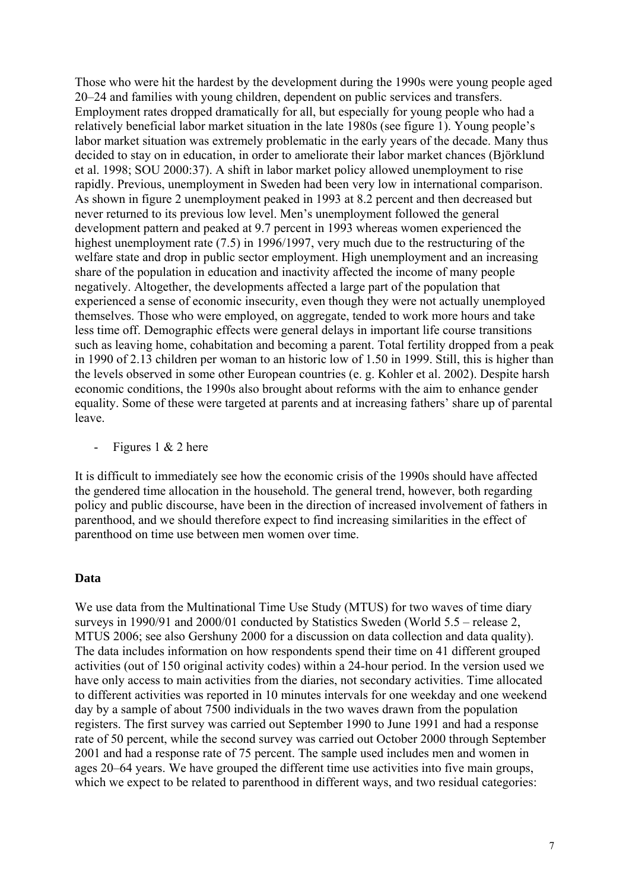Those who were hit the hardest by the development during the 1990s were young people aged 20–24 and families with young children, dependent on public services and transfers. Employment rates dropped dramatically for all, but especially for young people who had a relatively beneficial labor market situation in the late 1980s (see figure 1). Young people's labor market situation was extremely problematic in the early years of the decade. Many thus decided to stay on in education, in order to ameliorate their labor market chances (Björklund et al. 1998; SOU 2000:37). A shift in labor market policy allowed unemployment to rise rapidly. Previous, unemployment in Sweden had been very low in international comparison. As shown in figure 2 unemployment peaked in 1993 at 8.2 percent and then decreased but never returned to its previous low level. Men's unemployment followed the general development pattern and peaked at 9.7 percent in 1993 whereas women experienced the highest unemployment rate (7.5) in 1996/1997, very much due to the restructuring of the welfare state and drop in public sector employment. High unemployment and an increasing share of the population in education and inactivity affected the income of many people negatively. Altogether, the developments affected a large part of the population that experienced a sense of economic insecurity, even though they were not actually unemployed themselves. Those who were employed, on aggregate, tended to work more hours and take less time off. Demographic effects were general delays in important life course transitions such as leaving home, cohabitation and becoming a parent. Total fertility dropped from a peak in 1990 of 2.13 children per woman to an historic low of 1.50 in 1999. Still, this is higher than the levels observed in some other European countries (e. g. Kohler et al. 2002). Despite harsh economic conditions, the 1990s also brought about reforms with the aim to enhance gender equality. Some of these were targeted at parents and at increasing fathers' share up of parental leave.

- Figures  $1 \& 2$  here

It is difficult to immediately see how the economic crisis of the 1990s should have affected the gendered time allocation in the household. The general trend, however, both regarding policy and public discourse, have been in the direction of increased involvement of fathers in parenthood, and we should therefore expect to find increasing similarities in the effect of parenthood on time use between men women over time.

#### **Data**

We use data from the Multinational Time Use Study (MTUS) for two waves of time diary surveys in 1990/91 and 2000/01 conducted by Statistics Sweden (World 5.5 – release 2, MTUS 2006; see also Gershuny 2000 for a discussion on data collection and data quality). The data includes information on how respondents spend their time on 41 different grouped activities (out of 150 original activity codes) within a 24-hour period. In the version used we have only access to main activities from the diaries, not secondary activities. Time allocated to different activities was reported in 10 minutes intervals for one weekday and one weekend day by a sample of about 7500 individuals in the two waves drawn from the population registers. The first survey was carried out September 1990 to June 1991 and had a response rate of 50 percent, while the second survey was carried out October 2000 through September 2001 and had a response rate of 75 percent. The sample used includes men and women in ages 20–64 years. We have grouped the different time use activities into five main groups, which we expect to be related to parenthood in different ways, and two residual categories: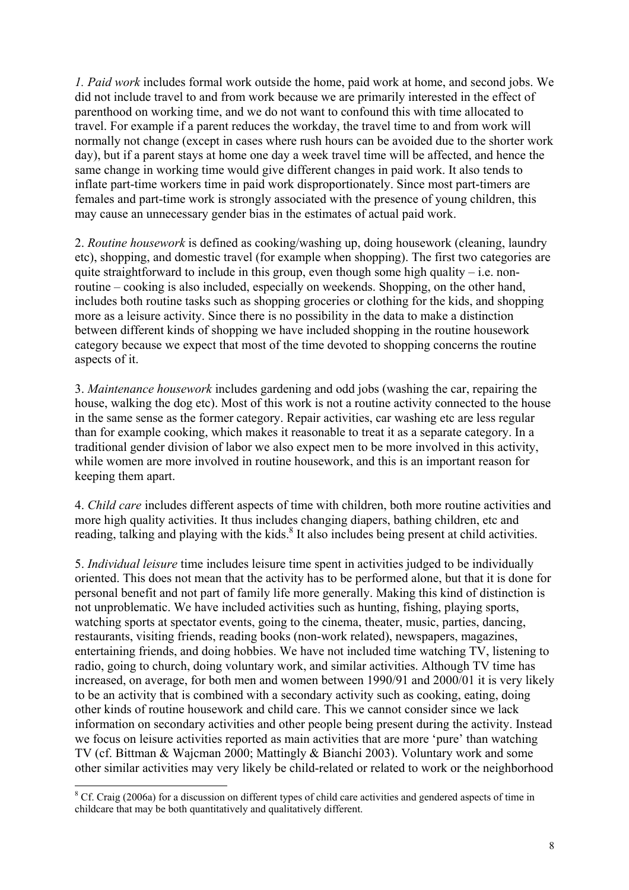*1. Paid work* includes formal work outside the home, paid work at home, and second jobs. We did not include travel to and from work because we are primarily interested in the effect of parenthood on working time, and we do not want to confound this with time allocated to travel. For example if a parent reduces the workday, the travel time to and from work will normally not change (except in cases where rush hours can be avoided due to the shorter work day), but if a parent stays at home one day a week travel time will be affected, and hence the same change in working time would give different changes in paid work. It also tends to inflate part-time workers time in paid work disproportionately. Since most part-timers are females and part-time work is strongly associated with the presence of young children, this may cause an unnecessary gender bias in the estimates of actual paid work.

2. *Routine housework* is defined as cooking/washing up, doing housework (cleaning, laundry etc), shopping, and domestic travel (for example when shopping). The first two categories are quite straightforward to include in this group, even though some high quality – i.e. nonroutine – cooking is also included, especially on weekends. Shopping, on the other hand, includes both routine tasks such as shopping groceries or clothing for the kids, and shopping more as a leisure activity. Since there is no possibility in the data to make a distinction between different kinds of shopping we have included shopping in the routine housework category because we expect that most of the time devoted to shopping concerns the routine aspects of it.

3. *Maintenance housework* includes gardening and odd jobs (washing the car, repairing the house, walking the dog etc). Most of this work is not a routine activity connected to the house in the same sense as the former category. Repair activities, car washing etc are less regular than for example cooking, which makes it reasonable to treat it as a separate category. In a traditional gender division of labor we also expect men to be more involved in this activity, while women are more involved in routine housework, and this is an important reason for keeping them apart.

4. *Child care* includes different aspects of time with children, both more routine activities and more high quality activities. It thus includes changing diapers, bathing children, etc and reading, talking and playing with the kids.<sup>8</sup> It also includes being present at child activities.

5. *Individual leisure* time includes leisure time spent in activities judged to be individually oriented. This does not mean that the activity has to be performed alone, but that it is done for personal benefit and not part of family life more generally. Making this kind of distinction is not unproblematic. We have included activities such as hunting, fishing, playing sports, watching sports at spectator events, going to the cinema, theater, music, parties, dancing, restaurants, visiting friends, reading books (non-work related), newspapers, magazines, entertaining friends, and doing hobbies. We have not included time watching TV, listening to radio, going to church, doing voluntary work, and similar activities. Although TV time has increased, on average, for both men and women between 1990/91 and 2000/01 it is very likely to be an activity that is combined with a secondary activity such as cooking, eating, doing other kinds of routine housework and child care. This we cannot consider since we lack information on secondary activities and other people being present during the activity. Instead we focus on leisure activities reported as main activities that are more 'pure' than watching TV (cf. Bittman & Wajcman 2000; Mattingly & Bianchi 2003). Voluntary work and some other similar activities may very likely be child-related or related to work or the neighborhood

-

<sup>&</sup>lt;sup>8</sup> Cf. Craig (2006a) for a discussion on different types of child care activities and gendered aspects of time in childcare that may be both quantitatively and qualitatively different.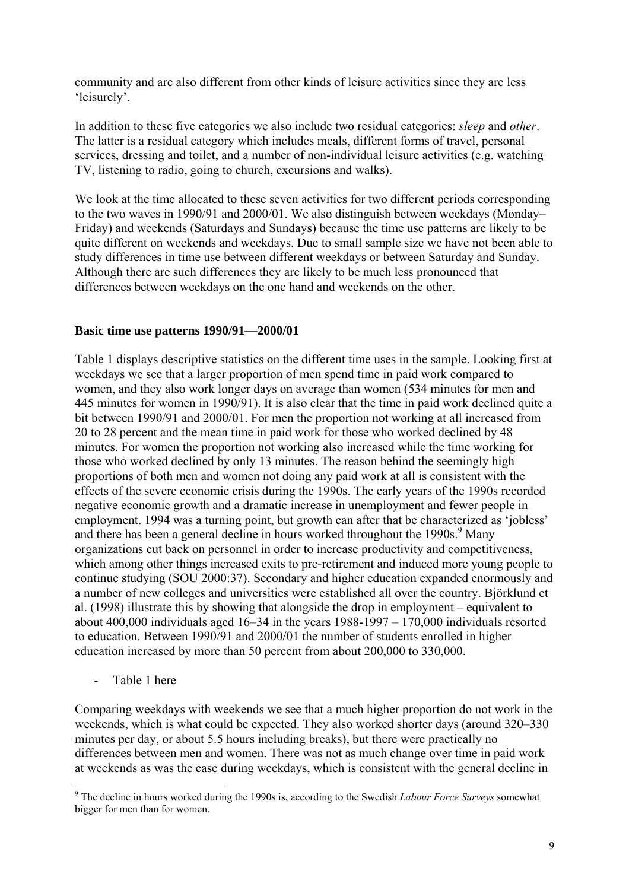community and are also different from other kinds of leisure activities since they are less 'leisurely'.

In addition to these five categories we also include two residual categories: *sleep* and *other*. The latter is a residual category which includes meals, different forms of travel, personal services, dressing and toilet, and a number of non-individual leisure activities (e.g. watching TV, listening to radio, going to church, excursions and walks).

We look at the time allocated to these seven activities for two different periods corresponding to the two waves in 1990/91 and 2000/01. We also distinguish between weekdays (Monday– Friday) and weekends (Saturdays and Sundays) because the time use patterns are likely to be quite different on weekends and weekdays. Due to small sample size we have not been able to study differences in time use between different weekdays or between Saturday and Sunday. Although there are such differences they are likely to be much less pronounced that differences between weekdays on the one hand and weekends on the other.

# **Basic time use patterns 1990/91—2000/01**

Table 1 displays descriptive statistics on the different time uses in the sample. Looking first at weekdays we see that a larger proportion of men spend time in paid work compared to women, and they also work longer days on average than women (534 minutes for men and 445 minutes for women in 1990/91). It is also clear that the time in paid work declined quite a bit between 1990/91 and 2000/01. For men the proportion not working at all increased from 20 to 28 percent and the mean time in paid work for those who worked declined by 48 minutes. For women the proportion not working also increased while the time working for those who worked declined by only 13 minutes. The reason behind the seemingly high proportions of both men and women not doing any paid work at all is consistent with the effects of the severe economic crisis during the 1990s. The early years of the 1990s recorded negative economic growth and a dramatic increase in unemployment and fewer people in employment. 1994 was a turning point, but growth can after that be characterized as 'jobless' and there has been a general decline in hours worked throughout the 1990s.<sup>9</sup> Many organizations cut back on personnel in order to increase productivity and competitiveness, which among other things increased exits to pre-retirement and induced more young people to continue studying (SOU 2000:37). Secondary and higher education expanded enormously and a number of new colleges and universities were established all over the country. Björklund et al. (1998) illustrate this by showing that alongside the drop in employment – equivalent to about 400,000 individuals aged 16–34 in the years 1988-1997 – 170,000 individuals resorted to education. Between 1990/91 and 2000/01 the number of students enrolled in higher education increased by more than 50 percent from about 200,000 to 330,000.

- Table 1 here

Comparing weekdays with weekends we see that a much higher proportion do not work in the weekends, which is what could be expected. They also worked shorter days (around 320–330 minutes per day, or about 5.5 hours including breaks), but there were practically no differences between men and women. There was not as much change over time in paid work at weekends as was the case during weekdays, which is consistent with the general decline in

 9 The decline in hours worked during the 1990s is, according to the Swedish *Labour Force Surveys* somewhat bigger for men than for women.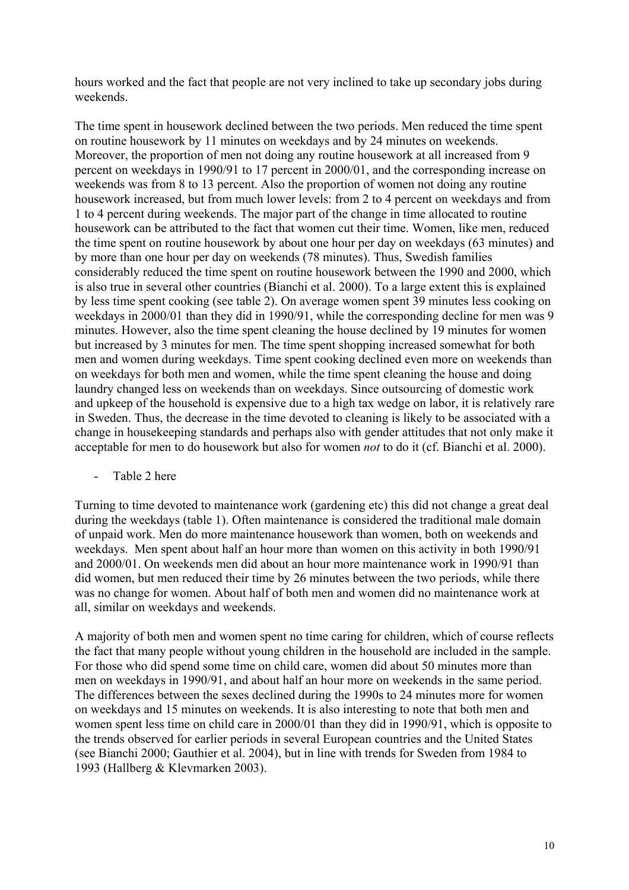hours worked and the fact that people are not very inclined to take up secondary jobs during weekends.

The time spent in housework declined between the two periods. Men reduced the time spent on routine housework by 11 minutes on weekdays and by 24 minutes on weekends. Moreover, the proportion of men not doing any routine housework at all increased from 9 percent on weekdays in 1990/91 to 17 percent in 2000/01, and the corresponding increase on weekends was from 8 to 13 percent. Also the proportion of women not doing any routine housework increased, but from much lower levels: from 2 to 4 percent on weekdays and from 1 to 4 percent during weekends. The major part of the change in time allocated to routine housework can be attributed to the fact that women cut their time. Women, like men, reduced the time spent on routine housework by about one hour per day on weekdays (63 minutes) and by more than one hour per day on weekends (78 minutes). Thus, Swedish families considerably reduced the time spent on routine housework between the 1990 and 2000, which is also true in several other countries (Bianchi et al. 2000). To a large extent this is explained by less time spent cooking (see table 2). On average women spent 39 minutes less cooking on weekdays in 2000/01 than they did in 1990/91, while the corresponding decline for men was 9 minutes. However, also the time spent cleaning the house declined by 19 minutes for women but increased by 3 minutes for men. The time spent shopping increased somewhat for both men and women during weekdays. Time spent cooking declined even more on weekends than on weekdays for both men and women, while the time spent cleaning the house and doing laundry changed less on weekends than on weekdays. Since outsourcing of domestic work and upkeep of the household is expensive due to a high tax wedge on labor, it is relatively rare in Sweden. Thus, the decrease in the time devoted to cleaning is likely to be associated with a change in housekeeping standards and perhaps also with gender attitudes that not only make it acceptable for men to do housework but also for women *not* to do it (cf. Bianchi et al. 2000).

Table 2 here

Turning to time devoted to maintenance work (gardening etc) this did not change a great deal during the weekdays (table 1). Often maintenance is considered the traditional male domain of unpaid work. Men do more maintenance housework than women, both on weekends and weekdays. Men spent about half an hour more than women on this activity in both 1990/91 and 2000/01. On weekends men did about an hour more maintenance work in 1990/91 than did women, but men reduced their time by 26 minutes between the two periods, while there was no change for women. About half of both men and women did no maintenance work at all, similar on weekdays and weekends.

A majority of both men and women spent no time caring for children, which of course reflects the fact that many people without young children in the household are included in the sample. For those who did spend some time on child care, women did about 50 minutes more than men on weekdays in 1990/91, and about half an hour more on weekends in the same period. The differences between the sexes declined during the 1990s to 24 minutes more for women on weekdays and 15 minutes on weekends. It is also interesting to note that both men and women spent less time on child care in 2000/01 than they did in 1990/91, which is opposite to the trends observed for earlier periods in several European countries and the United States (see Bianchi 2000; Gauthier et al. 2004), but in line with trends for Sweden from 1984 to 1993 (Hallberg & Klevmarken 2003).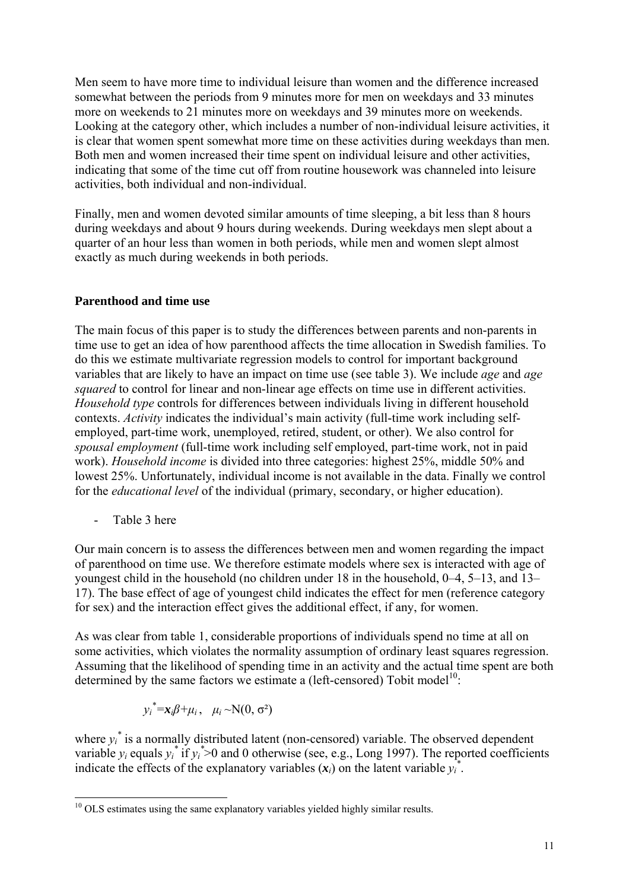Men seem to have more time to individual leisure than women and the difference increased somewhat between the periods from 9 minutes more for men on weekdays and 33 minutes more on weekends to 21 minutes more on weekdays and 39 minutes more on weekends. Looking at the category other, which includes a number of non-individual leisure activities, it is clear that women spent somewhat more time on these activities during weekdays than men. Both men and women increased their time spent on individual leisure and other activities, indicating that some of the time cut off from routine housework was channeled into leisure activities, both individual and non-individual.

Finally, men and women devoted similar amounts of time sleeping, a bit less than 8 hours during weekdays and about 9 hours during weekends. During weekdays men slept about a quarter of an hour less than women in both periods, while men and women slept almost exactly as much during weekends in both periods.

### **Parenthood and time use**

The main focus of this paper is to study the differences between parents and non-parents in time use to get an idea of how parenthood affects the time allocation in Swedish families. To do this we estimate multivariate regression models to control for important background variables that are likely to have an impact on time use (see table 3). We include *age* and *age squared* to control for linear and non-linear age effects on time use in different activities. *Household type* controls for differences between individuals living in different household contexts. *Activity* indicates the individual's main activity (full-time work including selfemployed, part-time work, unemployed, retired, student, or other). We also control for *spousal employment* (full-time work including self employed, part-time work, not in paid work). *Household income* is divided into three categories: highest 25%, middle 50% and lowest 25%. Unfortunately, individual income is not available in the data. Finally we control for the *educational level* of the individual (primary, secondary, or higher education).

Table 3 here

Our main concern is to assess the differences between men and women regarding the impact of parenthood on time use. We therefore estimate models where sex is interacted with age of youngest child in the household (no children under 18 in the household, 0–4, 5–13, and 13– 17). The base effect of age of youngest child indicates the effect for men (reference category for sex) and the interaction effect gives the additional effect, if any, for women.

As was clear from table 1, considerable proportions of individuals spend no time at all on some activities, which violates the normality assumption of ordinary least squares regression. Assuming that the likelihood of spending time in an activity and the actual time spent are both determined by the same factors we estimate a (left-censored) Tobit model<sup>10</sup>:

$$
y_i^* = x_i \beta + \mu_i, \quad \mu_i \sim N(0, \sigma^2)
$$

where  $y_i^*$  is a normally distributed latent (non-censored) variable. The observed dependent variable  $y_i$  equals  $y_i^*$  if  $y_i^*$  >0 and 0 otherwise (see, e.g., Long 1997). The reported coefficients indicate the effects of the explanatory variables  $(x_i)$  on the latent variable  $y_i^*$ .

<sup>-</sup> $10$  OLS estimates using the same explanatory variables yielded highly similar results.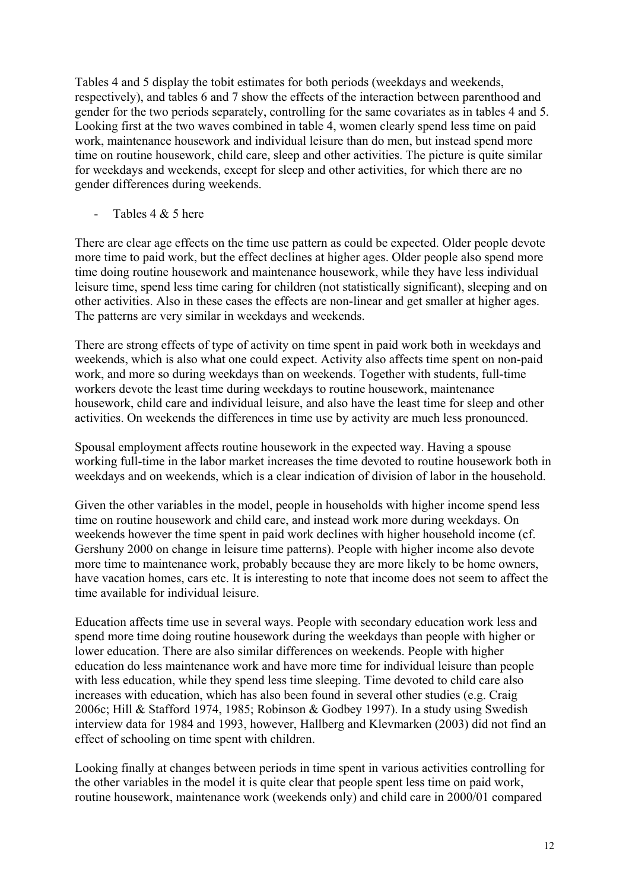Tables 4 and 5 display the tobit estimates for both periods (weekdays and weekends, respectively), and tables 6 and 7 show the effects of the interaction between parenthood and gender for the two periods separately, controlling for the same covariates as in tables 4 and 5. Looking first at the two waves combined in table 4, women clearly spend less time on paid work, maintenance housework and individual leisure than do men, but instead spend more time on routine housework, child care, sleep and other activities. The picture is quite similar for weekdays and weekends, except for sleep and other activities, for which there are no gender differences during weekends.

Tables 4 & 5 here

There are clear age effects on the time use pattern as could be expected. Older people devote more time to paid work, but the effect declines at higher ages. Older people also spend more time doing routine housework and maintenance housework, while they have less individual leisure time, spend less time caring for children (not statistically significant), sleeping and on other activities. Also in these cases the effects are non-linear and get smaller at higher ages. The patterns are very similar in weekdays and weekends.

There are strong effects of type of activity on time spent in paid work both in weekdays and weekends, which is also what one could expect. Activity also affects time spent on non-paid work, and more so during weekdays than on weekends. Together with students, full-time workers devote the least time during weekdays to routine housework, maintenance housework, child care and individual leisure, and also have the least time for sleep and other activities. On weekends the differences in time use by activity are much less pronounced.

Spousal employment affects routine housework in the expected way. Having a spouse working full-time in the labor market increases the time devoted to routine housework both in weekdays and on weekends, which is a clear indication of division of labor in the household.

Given the other variables in the model, people in households with higher income spend less time on routine housework and child care, and instead work more during weekdays. On weekends however the time spent in paid work declines with higher household income (cf. Gershuny 2000 on change in leisure time patterns). People with higher income also devote more time to maintenance work, probably because they are more likely to be home owners, have vacation homes, cars etc. It is interesting to note that income does not seem to affect the time available for individual leisure.

Education affects time use in several ways. People with secondary education work less and spend more time doing routine housework during the weekdays than people with higher or lower education. There are also similar differences on weekends. People with higher education do less maintenance work and have more time for individual leisure than people with less education, while they spend less time sleeping. Time devoted to child care also increases with education, which has also been found in several other studies (e.g. Craig 2006c; Hill & Stafford 1974, 1985; Robinson & Godbey 1997). In a study using Swedish interview data for 1984 and 1993, however, Hallberg and Klevmarken (2003) did not find an effect of schooling on time spent with children.

Looking finally at changes between periods in time spent in various activities controlling for the other variables in the model it is quite clear that people spent less time on paid work, routine housework, maintenance work (weekends only) and child care in 2000/01 compared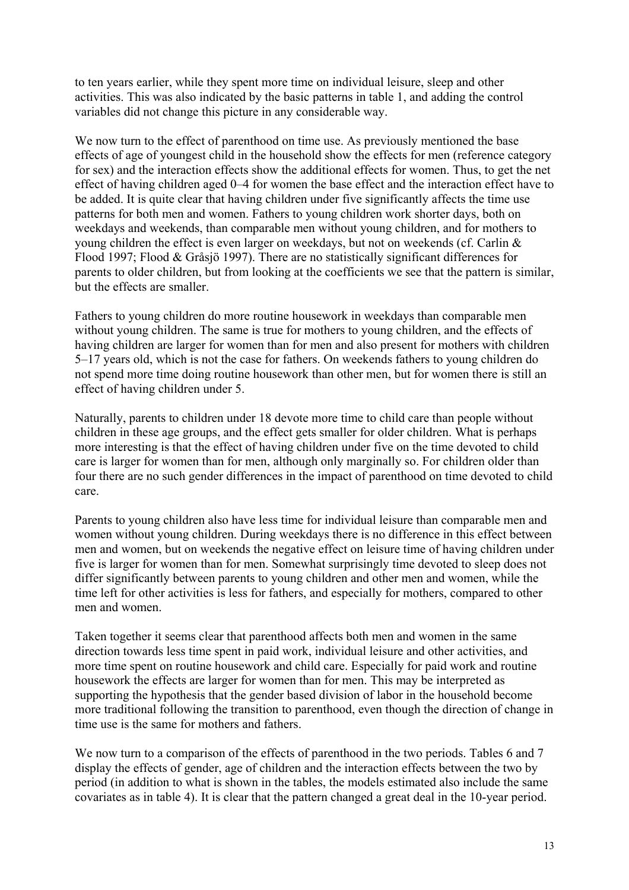to ten years earlier, while they spent more time on individual leisure, sleep and other activities. This was also indicated by the basic patterns in table 1, and adding the control variables did not change this picture in any considerable way.

We now turn to the effect of parenthood on time use. As previously mentioned the base effects of age of youngest child in the household show the effects for men (reference category for sex) and the interaction effects show the additional effects for women. Thus, to get the net effect of having children aged 0–4 for women the base effect and the interaction effect have to be added. It is quite clear that having children under five significantly affects the time use patterns for both men and women. Fathers to young children work shorter days, both on weekdays and weekends, than comparable men without young children, and for mothers to young children the effect is even larger on weekdays, but not on weekends (cf. Carlin & Flood 1997; Flood & Gråsjö 1997). There are no statistically significant differences for parents to older children, but from looking at the coefficients we see that the pattern is similar, but the effects are smaller.

Fathers to young children do more routine housework in weekdays than comparable men without young children. The same is true for mothers to young children, and the effects of having children are larger for women than for men and also present for mothers with children 5–17 years old, which is not the case for fathers. On weekends fathers to young children do not spend more time doing routine housework than other men, but for women there is still an effect of having children under 5.

Naturally, parents to children under 18 devote more time to child care than people without children in these age groups, and the effect gets smaller for older children. What is perhaps more interesting is that the effect of having children under five on the time devoted to child care is larger for women than for men, although only marginally so. For children older than four there are no such gender differences in the impact of parenthood on time devoted to child care.

Parents to young children also have less time for individual leisure than comparable men and women without young children. During weekdays there is no difference in this effect between men and women, but on weekends the negative effect on leisure time of having children under five is larger for women than for men. Somewhat surprisingly time devoted to sleep does not differ significantly between parents to young children and other men and women, while the time left for other activities is less for fathers, and especially for mothers, compared to other men and women.

Taken together it seems clear that parenthood affects both men and women in the same direction towards less time spent in paid work, individual leisure and other activities, and more time spent on routine housework and child care. Especially for paid work and routine housework the effects are larger for women than for men. This may be interpreted as supporting the hypothesis that the gender based division of labor in the household become more traditional following the transition to parenthood, even though the direction of change in time use is the same for mothers and fathers.

We now turn to a comparison of the effects of parenthood in the two periods. Tables 6 and 7 display the effects of gender, age of children and the interaction effects between the two by period (in addition to what is shown in the tables, the models estimated also include the same covariates as in table 4). It is clear that the pattern changed a great deal in the 10-year period.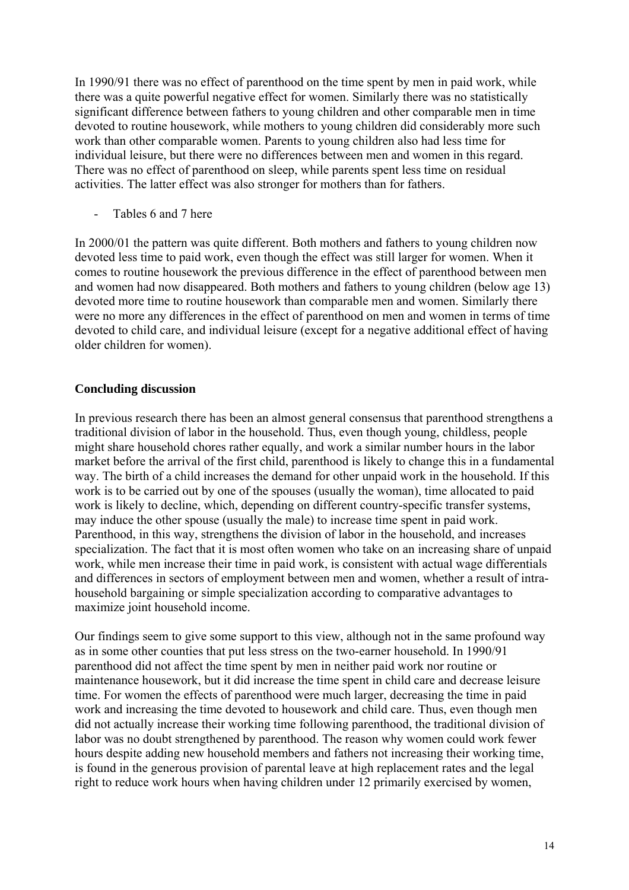In 1990/91 there was no effect of parenthood on the time spent by men in paid work, while there was a quite powerful negative effect for women. Similarly there was no statistically significant difference between fathers to young children and other comparable men in time devoted to routine housework, while mothers to young children did considerably more such work than other comparable women. Parents to young children also had less time for individual leisure, but there were no differences between men and women in this regard. There was no effect of parenthood on sleep, while parents spent less time on residual activities. The latter effect was also stronger for mothers than for fathers.

Tables 6 and 7 here

In 2000/01 the pattern was quite different. Both mothers and fathers to young children now devoted less time to paid work, even though the effect was still larger for women. When it comes to routine housework the previous difference in the effect of parenthood between men and women had now disappeared. Both mothers and fathers to young children (below age 13) devoted more time to routine housework than comparable men and women. Similarly there were no more any differences in the effect of parenthood on men and women in terms of time devoted to child care, and individual leisure (except for a negative additional effect of having older children for women).

### **Concluding discussion**

In previous research there has been an almost general consensus that parenthood strengthens a traditional division of labor in the household. Thus, even though young, childless, people might share household chores rather equally, and work a similar number hours in the labor market before the arrival of the first child, parenthood is likely to change this in a fundamental way. The birth of a child increases the demand for other unpaid work in the household. If this work is to be carried out by one of the spouses (usually the woman), time allocated to paid work is likely to decline, which, depending on different country-specific transfer systems, may induce the other spouse (usually the male) to increase time spent in paid work. Parenthood, in this way, strengthens the division of labor in the household, and increases specialization. The fact that it is most often women who take on an increasing share of unpaid work, while men increase their time in paid work, is consistent with actual wage differentials and differences in sectors of employment between men and women, whether a result of intrahousehold bargaining or simple specialization according to comparative advantages to maximize joint household income.

Our findings seem to give some support to this view, although not in the same profound way as in some other counties that put less stress on the two-earner household. In 1990/91 parenthood did not affect the time spent by men in neither paid work nor routine or maintenance housework, but it did increase the time spent in child care and decrease leisure time. For women the effects of parenthood were much larger, decreasing the time in paid work and increasing the time devoted to housework and child care. Thus, even though men did not actually increase their working time following parenthood, the traditional division of labor was no doubt strengthened by parenthood. The reason why women could work fewer hours despite adding new household members and fathers not increasing their working time, is found in the generous provision of parental leave at high replacement rates and the legal right to reduce work hours when having children under 12 primarily exercised by women,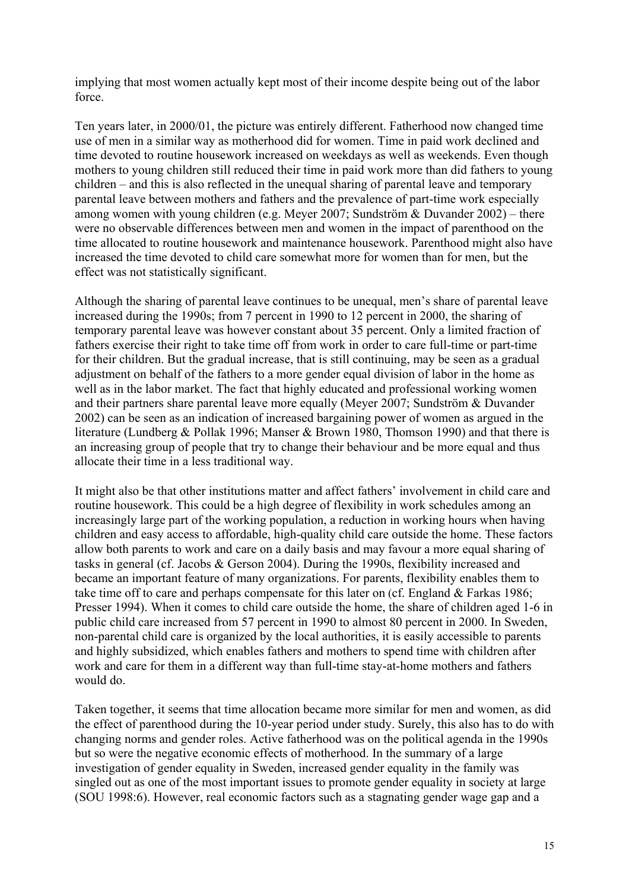implying that most women actually kept most of their income despite being out of the labor force.

Ten years later, in 2000/01, the picture was entirely different. Fatherhood now changed time use of men in a similar way as motherhood did for women. Time in paid work declined and time devoted to routine housework increased on weekdays as well as weekends. Even though mothers to young children still reduced their time in paid work more than did fathers to young children – and this is also reflected in the unequal sharing of parental leave and temporary parental leave between mothers and fathers and the prevalence of part-time work especially among women with young children (e.g. Meyer 2007; Sundström & Duvander 2002) – there were no observable differences between men and women in the impact of parenthood on the time allocated to routine housework and maintenance housework. Parenthood might also have increased the time devoted to child care somewhat more for women than for men, but the effect was not statistically significant.

Although the sharing of parental leave continues to be unequal, men's share of parental leave increased during the 1990s; from 7 percent in 1990 to 12 percent in 2000, the sharing of temporary parental leave was however constant about 35 percent. Only a limited fraction of fathers exercise their right to take time off from work in order to care full-time or part-time for their children. But the gradual increase, that is still continuing, may be seen as a gradual adjustment on behalf of the fathers to a more gender equal division of labor in the home as well as in the labor market. The fact that highly educated and professional working women and their partners share parental leave more equally (Meyer 2007; Sundström & Duvander 2002) can be seen as an indication of increased bargaining power of women as argued in the literature (Lundberg & Pollak 1996; Manser & Brown 1980, Thomson 1990) and that there is an increasing group of people that try to change their behaviour and be more equal and thus allocate their time in a less traditional way.

It might also be that other institutions matter and affect fathers' involvement in child care and routine housework. This could be a high degree of flexibility in work schedules among an increasingly large part of the working population, a reduction in working hours when having children and easy access to affordable, high-quality child care outside the home. These factors allow both parents to work and care on a daily basis and may favour a more equal sharing of tasks in general (cf. Jacobs & Gerson 2004). During the 1990s, flexibility increased and became an important feature of many organizations. For parents, flexibility enables them to take time off to care and perhaps compensate for this later on (cf. England & Farkas 1986; Presser 1994). When it comes to child care outside the home, the share of children aged 1-6 in public child care increased from 57 percent in 1990 to almost 80 percent in 2000. In Sweden, non-parental child care is organized by the local authorities, it is easily accessible to parents and highly subsidized, which enables fathers and mothers to spend time with children after work and care for them in a different way than full-time stay-at-home mothers and fathers would do.

Taken together, it seems that time allocation became more similar for men and women, as did the effect of parenthood during the 10-year period under study. Surely, this also has to do with changing norms and gender roles. Active fatherhood was on the political agenda in the 1990s but so were the negative economic effects of motherhood. In the summary of a large investigation of gender equality in Sweden, increased gender equality in the family was singled out as one of the most important issues to promote gender equality in society at large (SOU 1998:6). However, real economic factors such as a stagnating gender wage gap and a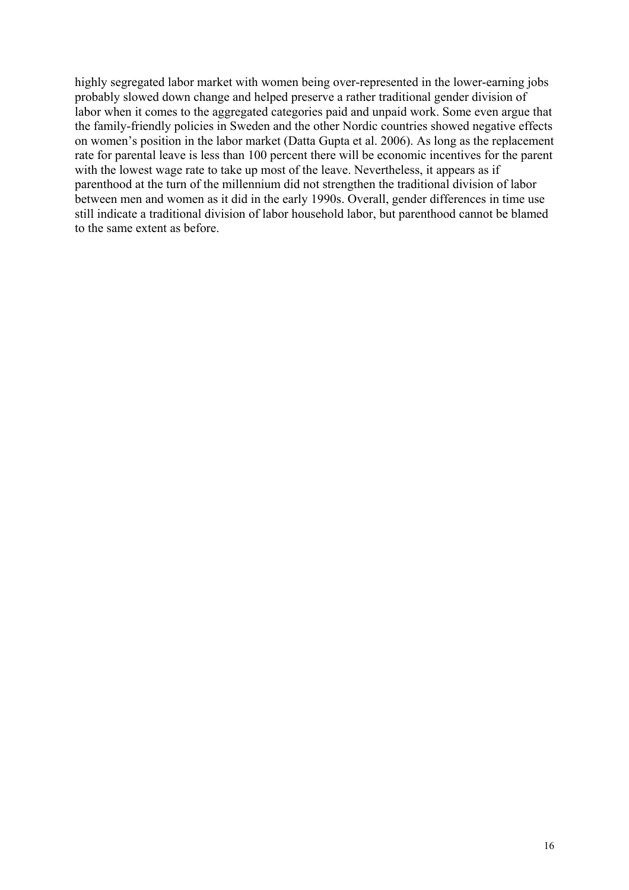highly segregated labor market with women being over-represented in the lower-earning jobs probably slowed down change and helped preserve a rather traditional gender division of labor when it comes to the aggregated categories paid and unpaid work. Some even argue that the family-friendly policies in Sweden and the other Nordic countries showed negative effects on women's position in the labor market (Datta Gupta et al. 2006). As long as the replacement rate for parental leave is less than 100 percent there will be economic incentives for the parent with the lowest wage rate to take up most of the leave. Nevertheless, it appears as if parenthood at the turn of the millennium did not strengthen the traditional division of labor between men and women as it did in the early 1990s. Overall, gender differences in time use still indicate a traditional division of labor household labor, but parenthood cannot be blamed to the same extent as before.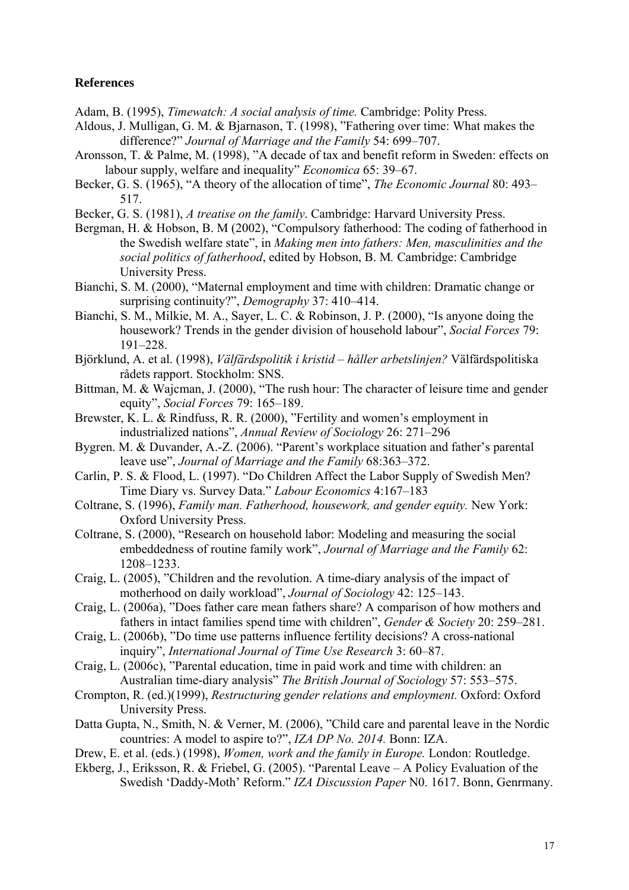#### **References**

Adam, B. (1995), *Timewatch: A social analysis of time.* Cambridge: Polity Press.

- Aldous, J. Mulligan, G. M. & Bjarnason, T. (1998), "Fathering over time: What makes the difference?" *Journal of Marriage and the Family* 54: 699–707.
- Aronsson, T. & Palme, M. (1998), "A decade of tax and benefit reform in Sweden: effects on labour supply, welfare and inequality" *Economica* 65: 39–67.
- Becker, G. S. (1965), "A theory of the allocation of time", *The Economic Journal* 80: 493– 517.
- Becker, G. S. (1981), *A treatise on the family*. Cambridge: Harvard University Press.
- Bergman, H. & Hobson, B. M (2002), "Compulsory fatherhood: The coding of fatherhood in the Swedish welfare state", in *Making men into fathers: Men, masculinities and the social politics of fatherhood*, edited by Hobson, B. M*.* Cambridge: Cambridge University Press.
- Bianchi, S. M. (2000), "Maternal employment and time with children: Dramatic change or surprising continuity?", *Demography* 37: 410–414.
- Bianchi, S. M., Milkie, M. A., Sayer, L. C. & Robinson, J. P. (2000), "Is anyone doing the housework? Trends in the gender division of household labour", *Social Forces* 79: 191–228.
- Björklund, A. et al. (1998), *Välfärdspolitik i kristid håller arbetslinjen?* Välfärdspolitiska rådets rapport. Stockholm: SNS.
- Bittman, M. & Wajcman, J. (2000), "The rush hour: The character of leisure time and gender equity", *Social Forces* 79: 165–189.
- Brewster, K. L. & Rindfuss, R. R. (2000), "Fertility and women's employment in industrialized nations", *Annual Review of Sociology* 26: 271–296
- Bygren. M. & Duvander, A.-Z. (2006). "Parent's workplace situation and father's parental leave use", *Journal of Marriage and the Family* 68:363–372.
- Carlin, P. S. & Flood, L. (1997). "Do Children Affect the Labor Supply of Swedish Men? Time Diary vs. Survey Data." *Labour Economics* 4:167–183
- Coltrane, S. (1996), *Family man. Fatherhood, housework, and gender equity.* New York: Oxford University Press.
- Coltrane, S. (2000), "Research on household labor: Modeling and measuring the social embeddedness of routine family work", *Journal of Marriage and the Family* 62: 1208–1233.
- Craig, L. (2005), "Children and the revolution. A time-diary analysis of the impact of motherhood on daily workload", *Journal of Sociology* 42: 125–143.
- Craig, L. (2006a), "Does father care mean fathers share? A comparison of how mothers and fathers in intact families spend time with children", *Gender & Society* 20: 259–281.
- Craig, L. (2006b), "Do time use patterns influence fertility decisions? A cross-national inquiry", *International Journal of Time Use Research* 3: 60–87.
- Craig, L. (2006c), "Parental education, time in paid work and time with children: an Australian time-diary analysis" *The British Journal of Sociology* 57: 553–575.
- Crompton, R. (ed.)(1999), *Restructuring gender relations and employment.* Oxford: Oxford University Press.
- Datta Gupta, N., Smith, N. & Verner, M. (2006), "Child care and parental leave in the Nordic countries: A model to aspire to?", *IZA DP No. 2014.* Bonn: IZA.
- Drew, E. et al. (eds.) (1998), *Women, work and the family in Europe.* London: Routledge.
- Ekberg, J., Eriksson, R. & Friebel, G. (2005). "Parental Leave A Policy Evaluation of the Swedish 'Daddy-Moth' Reform." *IZA Discussion Paper* N0. 1617. Bonn, Genrmany.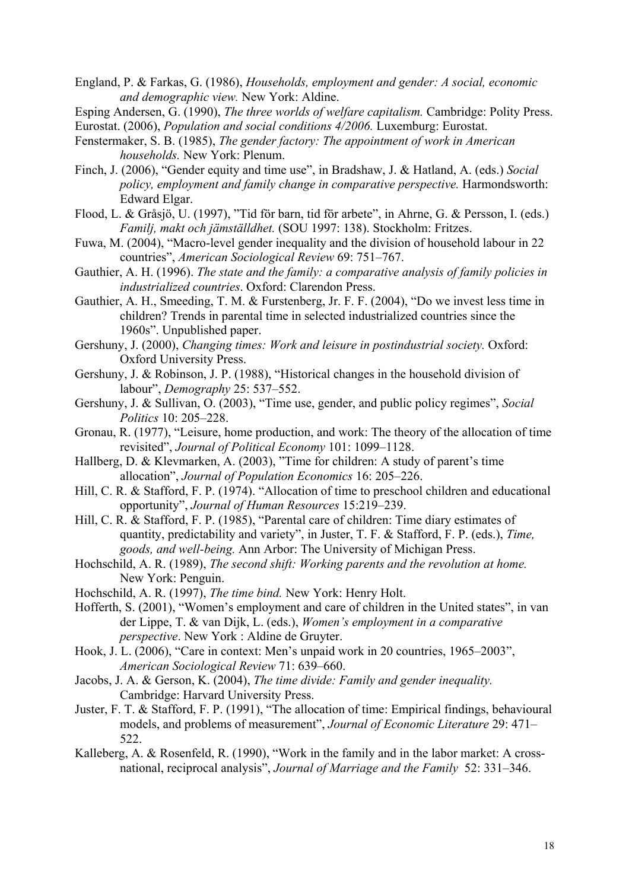England, P. & Farkas, G. (1986), *Households, employment and gender: A social, economic and demographic view.* New York: Aldine.

Esping Andersen, G. (1990), *The three worlds of welfare capitalism.* Cambridge: Polity Press. Eurostat. (2006), *Population and social conditions 4/2006.* Luxemburg: Eurostat.

- Fenstermaker, S. B. (1985), *The gender factory: The appointment of work in American households.* New York: Plenum.
- Finch, J. (2006), "Gender equity and time use", in Bradshaw, J. & Hatland, A. (eds.) *Social policy, employment and family change in comparative perspective.* Harmondsworth: Edward Elgar.
- Flood, L. & Gråsjö, U. (1997), "Tid för barn, tid för arbete", in Ahrne, G. & Persson, I. (eds.) *Familj, makt och jämställdhet.* (SOU 1997: 138). Stockholm: Fritzes.
- Fuwa, M. (2004), "Macro-level gender inequality and the division of household labour in 22 countries", *American Sociological Review* 69: 751–767.
- Gauthier, A. H. (1996). *The state and the family: a comparative analysis of family policies in industrialized countries*. Oxford: Clarendon Press.
- Gauthier, A. H., Smeeding, T. M. & Furstenberg, Jr. F. F. (2004), "Do we invest less time in children? Trends in parental time in selected industrialized countries since the 1960s". Unpublished paper.

Gershuny, J. (2000), *Changing times: Work and leisure in postindustrial society*. Oxford: Oxford University Press.

- Gershuny, J. & Robinson, J. P. (1988), "Historical changes in the household division of labour", *Demography* 25: 537–552.
- Gershuny, J. & Sullivan, O. (2003), "Time use, gender, and public policy regimes", *Social Politics* 10: 205–228.
- Gronau, R. (1977), "Leisure, home production, and work: The theory of the allocation of time revisited", *Journal of Political Economy* 101: 1099–1128.
- Hallberg, D. & Klevmarken, A. (2003), "Time for children: A study of parent's time allocation", *Journal of Population Economics* 16: 205–226.
- Hill, C. R. & Stafford, F. P. (1974). "Allocation of time to preschool children and educational opportunity", *Journal of Human Resources* 15:219–239.
- Hill, C. R. & Stafford, F. P. (1985), "Parental care of children: Time diary estimates of quantity, predictability and variety", in Juster, T. F. & Stafford, F. P. (eds.), *Time, goods, and well-being.* Ann Arbor: The University of Michigan Press.
- Hochschild, A. R. (1989), *The second shift: Working parents and the revolution at home.* New York: Penguin.
- Hochschild, A. R. (1997), *The time bind.* New York: Henry Holt.
- Hofferth, S. (2001), "Women's employment and care of children in the United states", in van der Lippe, T. & van Dijk, L. (eds.), *Women's employment in a comparative perspective*. New York : Aldine de Gruyter.
- Hook, J. L. (2006), "Care in context: Men's unpaid work in 20 countries, 1965–2003", *American Sociological Review* 71: 639–660.
- Jacobs, J. A. & Gerson, K. (2004), *The time divide: Family and gender inequality.*  Cambridge: Harvard University Press.
- Juster, F. T. & Stafford, F. P. (1991), "The allocation of time: Empirical findings, behavioural models, and problems of measurement", *Journal of Economic Literature* 29: 471– 522.
- Kalleberg, A. & Rosenfeld, R. (1990), "Work in the family and in the labor market: A crossnational, reciprocal analysis", *Journal of Marriage and the Family* 52: 331–346.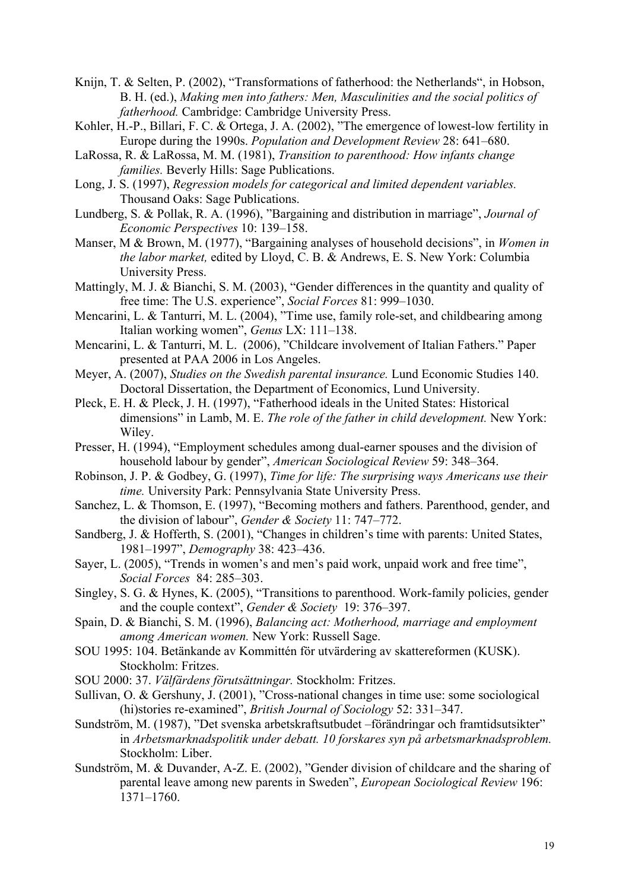- Knijn, T. & Selten, P. (2002), "Transformations of fatherhood: the Netherlands", in Hobson, B. H. (ed.), *Making men into fathers: Men, Masculinities and the social politics of fatherhood.* Cambridge: Cambridge University Press.
- Kohler, H.-P., Billari, F. C. & Ortega, J. A. (2002), "The emergence of lowest-low fertility in Europe during the 1990s. *Population and Development Review* 28: 641–680.
- LaRossa, R. & LaRossa, M. M. (1981), *Transition to parenthood: How infants change families.* Beverly Hills: Sage Publications.
- Long, J. S. (1997), *Regression models for categorical and limited dependent variables.* Thousand Oaks: Sage Publications.
- Lundberg, S. & Pollak, R. A. (1996), "Bargaining and distribution in marriage", *Journal of Economic Perspectives* 10: 139–158.
- Manser, M & Brown, M. (1977), "Bargaining analyses of household decisions", in *Women in the labor market,* edited by Lloyd, C. B. & Andrews, E. S. New York: Columbia University Press.
- Mattingly, M. J. & Bianchi, S. M. (2003), "Gender differences in the quantity and quality of free time: The U.S. experience", *Social Forces* 81: 999–1030.
- Mencarini, L. & Tanturri, M. L. (2004), "Time use, family role-set, and childbearing among Italian working women", *Genus* LX: 111–138.
- Mencarini, L. & Tanturri, M. L. (2006), "Childcare involvement of Italian Fathers." Paper presented at PAA 2006 in Los Angeles.
- Meyer, A. (2007), *Studies on the Swedish parental insurance.* Lund Economic Studies 140. Doctoral Dissertation, the Department of Economics, Lund University.
- Pleck, E. H. & Pleck, J. H. (1997), "Fatherhood ideals in the United States: Historical dimensions" in Lamb, M. E. *The role of the father in child development.* New York: Wiley.
- Presser, H. (1994), "Employment schedules among dual-earner spouses and the division of household labour by gender", *American Sociological Review* 59: 348–364.
- Robinson, J. P. & Godbey, G. (1997), *Time for life: The surprising ways Americans use their time.* University Park: Pennsylvania State University Press.
- Sanchez, L. & Thomson, E. (1997), "Becoming mothers and fathers. Parenthood, gender, and the division of labour", *Gender & Society* 11: 747–772.
- Sandberg, J. & Hofferth, S. (2001), "Changes in children's time with parents: United States, 1981–1997", *Demography* 38: 423–436.
- Sayer, L. (2005), "Trends in women's and men's paid work, unpaid work and free time", *Social Forces* 84: 285–303.
- Singley, S. G. & Hynes, K. (2005), "Transitions to parenthood. Work-family policies, gender and the couple context", *Gender & Society* 19: 376–397.
- Spain, D. & Bianchi, S. M. (1996), *Balancing act: Motherhood, marriage and employment among American women.* New York: Russell Sage.
- SOU 1995: 104. Betänkande av Kommittén för utvärdering av skattereformen (KUSK). Stockholm: Fritzes.
- SOU 2000: 37. *Välfärdens förutsättningar.* Stockholm: Fritzes.
- Sullivan, O. & Gershuny, J. (2001), "Cross-national changes in time use: some sociological (hi)stories re-examined", *British Journal of Sociology* 52: 331–347.
- Sundström, M. (1987), "Det svenska arbetskraftsutbudet –förändringar och framtidsutsikter" in *Arbetsmarknadspolitik under debatt. 10 forskares syn på arbetsmarknadsproblem.* Stockholm: Liber.
- Sundström, M. & Duvander, A-Z. E. (2002), "Gender division of childcare and the sharing of parental leave among new parents in Sweden", *European Sociological Review* 196: 1371–1760.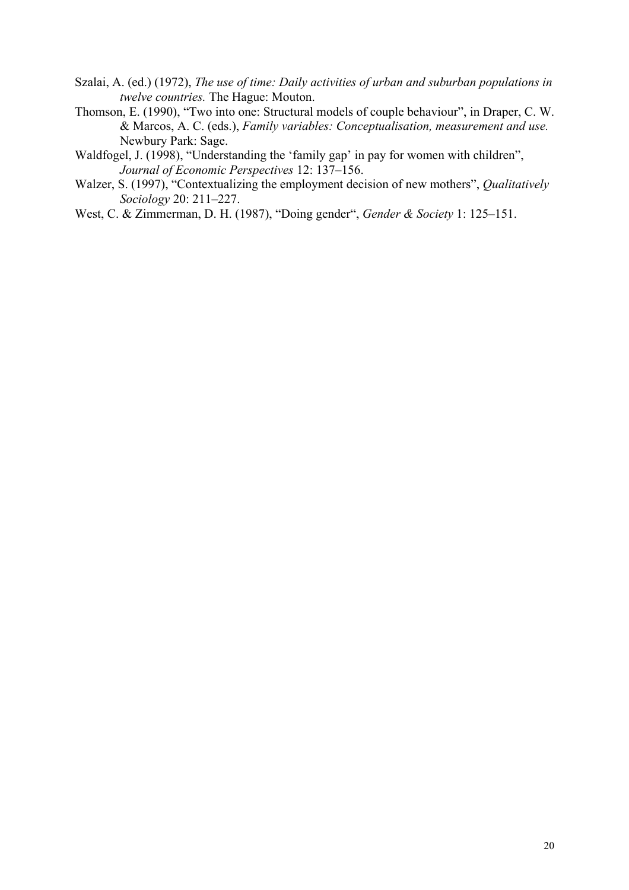- Szalai, A. (ed.) (1972), *The use of time: Daily activities of urban and suburban populations in twelve countries.* The Hague: Mouton.
- Thomson, E. (1990), "Two into one: Structural models of couple behaviour", in Draper, C. W. & Marcos, A. C. (eds.), *Family variables: Conceptualisation, measurement and use.* Newbury Park: Sage.
- Waldfogel, J. (1998), "Understanding the 'family gap' in pay for women with children", *Journal of Economic Perspectives* 12: 137–156.
- Walzer, S. (1997), "Contextualizing the employment decision of new mothers", *Qualitatively Sociology* 20: 211–227.
- West, C. & Zimmerman, D. H. (1987), "Doing gender", *Gender & Society* 1: 125–151.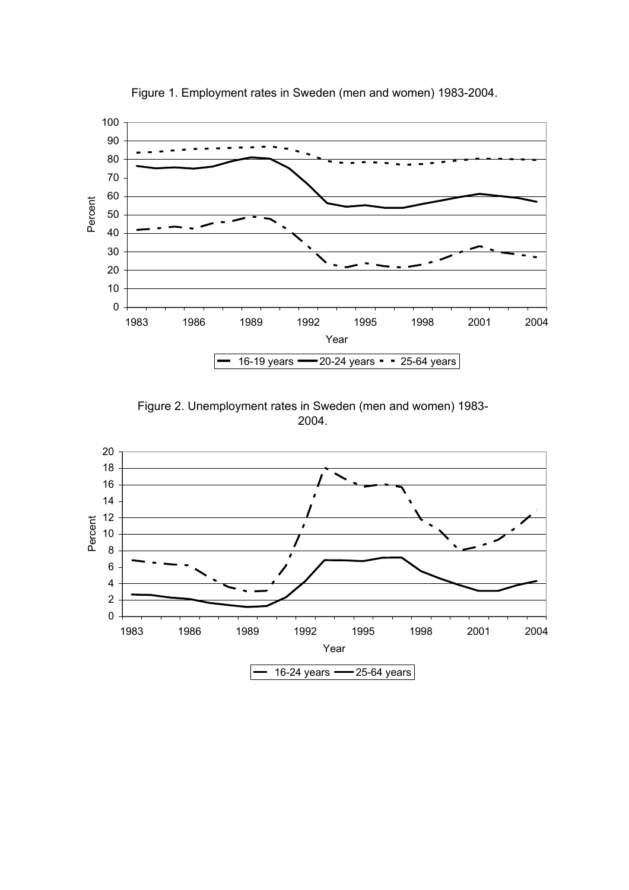

Figure 1. Employment rates in Sweden (men and women) 1983-2004.

Figure 2. Unemployment rates in Sweden (men and women) 1983- 2004.

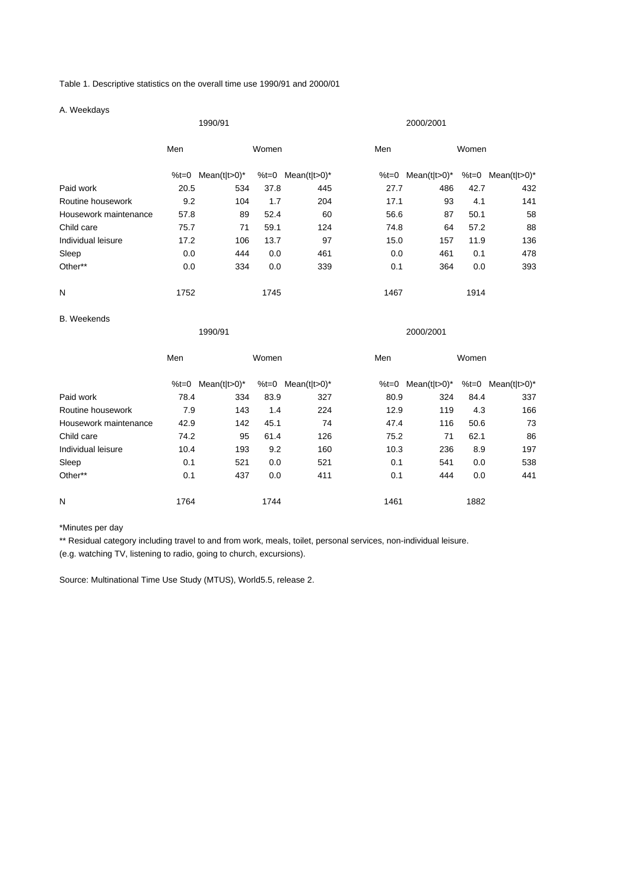Table 1. Descriptive statistics on the overall time use 1990/91 and 2000/01

|                       | 1990/91 |                   |       |                   | 2000/2001 |                   |       |                   |  |
|-----------------------|---------|-------------------|-------|-------------------|-----------|-------------------|-------|-------------------|--|
|                       | Men     | Women             |       |                   | Men       |                   | Women |                   |  |
|                       |         | %t=0 Mean(t t>0)* |       | %t=0 Mean(t t>0)* | %t=0      | Mean(t t>0)*      |       | %t=0 Mean(t t>0)* |  |
| Paid work             | 20.5    | 534               | 37.8  | 445               | 27.7      | 486               | 42.7  | 432               |  |
| Routine housework     | 9.2     | 104               | 1.7   | 204               | 17.1      | 93                | 4.1   | 141               |  |
| Housework maintenance | 57.8    | 89                | 52.4  | 60                | 56.6      | 87                | 50.1  | 58                |  |
| Child care            | 75.7    | 71                | 59.1  | 124               | 74.8      | 64                | 57.2  | 88                |  |
| Individual leisure    | 17.2    | 106               | 13.7  | 97                | 15.0      | 157               | 11.9  | 136               |  |
| Sleep                 | 0.0     | 444               | 0.0   | 461               | 0.0       | 461               | 0.1   | 478               |  |
| Other**               | 0.0     | 334               | 0.0   | 339               | 0.1       | 364               | 0.0   | 393               |  |
| N                     | 1752    |                   | 1745  |                   | 1467      |                   | 1914  |                   |  |
| <b>B.</b> Weekends    |         |                   |       |                   |           |                   |       |                   |  |
|                       |         | 1990/91           |       |                   |           | 2000/2001         |       |                   |  |
|                       | Men     |                   | Women |                   | Men       |                   | Women |                   |  |
|                       |         | %t=0 Mean(t t>0)* |       | %t=0 Mean(t t>0)* |           | %t=0 Mean(t t>0)* |       | %t=0 Mean(t t>0)* |  |
| Paid work             | 78.4    | 334               | 83.9  | 327               | 80.9      | 324               | 84.4  | 337               |  |
| Routine housework     | 7.9     | 143               | 1.4   | 224               | 12.9      | 119               | 4.3   | 166               |  |
| Housework maintenance | 42.9    | 142               | 45.1  | 74                | 47.4      | 116               | 50.6  | 73                |  |
| Child care            | 74.2    | 95                | 61.4  | 126               | 75.2      | 71                | 62.1  | 86                |  |
| Individual leisure    | 10.4    | 193               | 9.2   | 160               | 10.3      | 236               | 8.9   | 197               |  |
| Sleep                 | 0.1     | 521               | 0.0   | 521               | 0.1       | 541               | 0.0   | 538               |  |

Other\*\* 0.1 437 0.0 411 0.1 444 0.0 441

\*Minutes per day

\*\* Residual category including travel to and from work, meals, toilet, personal services, non-individual leisure.

N 1764 1764 1744 1982 1882

(e.g. watching TV, listening to radio, going to church, excursions).

Source: Multinational Time Use Study (MTUS), World5.5, release 2.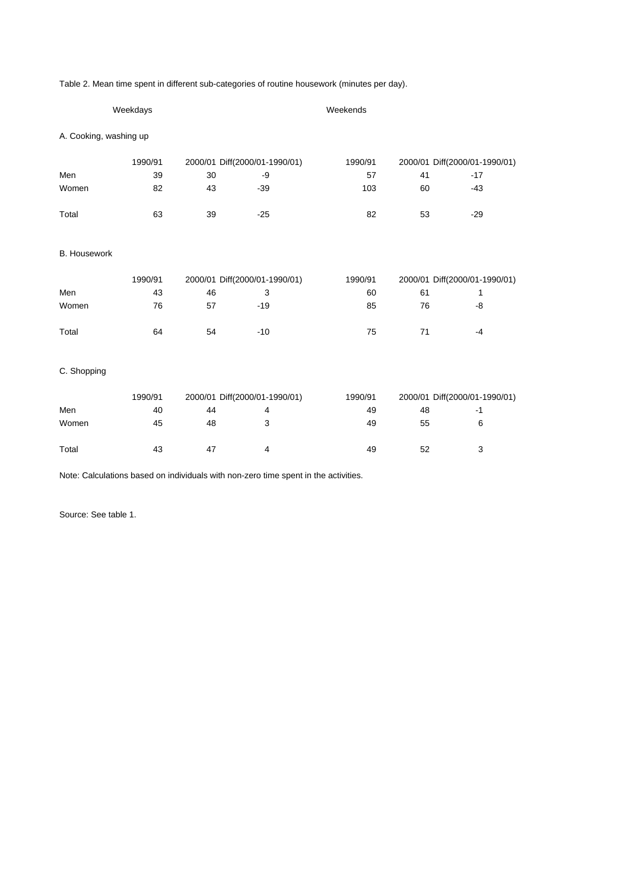Table 2. Mean time spent in different sub-categories of routine housework (minutes per day).

|                        | Weekdays |    |                               | Weekends |                               |                               |  |  |
|------------------------|----------|----|-------------------------------|----------|-------------------------------|-------------------------------|--|--|
| A. Cooking, washing up |          |    |                               |          |                               |                               |  |  |
|                        | 1990/91  |    | 2000/01 Diff(2000/01-1990/01) | 1990/91  |                               | 2000/01 Diff(2000/01-1990/01) |  |  |
| Men                    | 39       | 30 | -9                            | 57       | 41                            | $-17$                         |  |  |
| Women                  | 82       | 43 | $-39$                         | 103      | 60                            | $-43$                         |  |  |
| Total                  | 63       | 39 | $-25$                         | 82       | 53                            | $-29$                         |  |  |
| <b>B.</b> Housework    |          |    |                               |          |                               |                               |  |  |
|                        | 1990/91  |    | 2000/01 Diff(2000/01-1990/01) |          | 2000/01 Diff(2000/01-1990/01) |                               |  |  |
| Men                    | 43       | 46 | 3                             | 60       | 61                            | 1                             |  |  |
| Women                  | 76       | 57 | $-19$                         | 85       | 76                            | -8                            |  |  |
| Total                  | 64       | 54 | $-10$                         | 75       | 71                            | $-4$                          |  |  |
| C. Shopping            |          |    |                               |          |                               |                               |  |  |
|                        | 1990/91  |    | 2000/01 Diff(2000/01-1990/01) |          |                               | 2000/01 Diff(2000/01-1990/01) |  |  |
| Men                    | 40       | 44 | 4                             | 49       | 48                            | $-1$                          |  |  |
| Women                  | 45       | 48 | 3                             | 49       | 55                            | 6                             |  |  |
| Total                  | 43       | 47 | 4                             | 49       | 52                            | 3                             |  |  |

Note: Calculations based on individuals with non-zero time spent in the activities.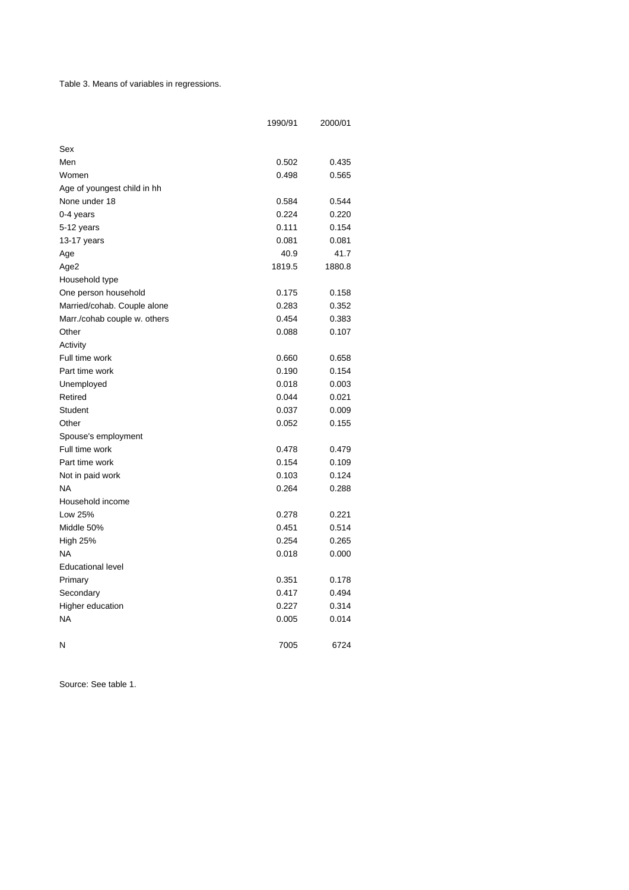Table 3. Means of variables in regressions.

|                              | 1990/91 | 2000/01 |
|------------------------------|---------|---------|
| Sex                          |         |         |
| Men                          | 0.502   | 0.435   |
| Women                        | 0.498   | 0.565   |
| Age of youngest child in hh  |         |         |
| None under 18                | 0.584   | 0.544   |
| 0-4 years                    | 0.224   | 0.220   |
| 5-12 years                   | 0.111   | 0.154   |
| 13-17 years                  | 0.081   | 0.081   |
|                              | 40.9    | 41.7    |
| Age<br>Age2                  | 1819.5  | 1880.8  |
| Household type               |         |         |
| One person household         | 0.175   | 0.158   |
| Married/cohab. Couple alone  | 0.283   | 0.352   |
| Marr./cohab couple w. others | 0.454   | 0.383   |
| Other                        | 0.088   | 0.107   |
| Activity                     |         |         |
| Full time work               | 0.660   | 0.658   |
| Part time work               | 0.190   | 0.154   |
| Unemployed                   | 0.018   | 0.003   |
| Retired                      | 0.044   | 0.021   |
| Student                      | 0.037   | 0.009   |
| Other                        | 0.052   | 0.155   |
| Spouse's employment          |         |         |
| Full time work               | 0.478   | 0.479   |
| Part time work               | 0.154   | 0.109   |
| Not in paid work             | 0.103   | 0.124   |
| <b>NA</b>                    | 0.264   | 0.288   |
| Household income             |         |         |
| Low 25%                      | 0.278   | 0.221   |
| Middle 50%                   | 0.451   | 0.514   |
| <b>High 25%</b>              | 0.254   | 0.265   |
| <b>NA</b>                    | 0.018   | 0.000   |
| <b>Educational level</b>     |         |         |
| Primary                      | 0.351   | 0.178   |
| Secondary                    | 0.417   | 0.494   |
| Higher education             | 0.227   | 0.314   |
| NA                           | 0.005   | 0.014   |
|                              |         |         |
| N                            | 7005    | 6724    |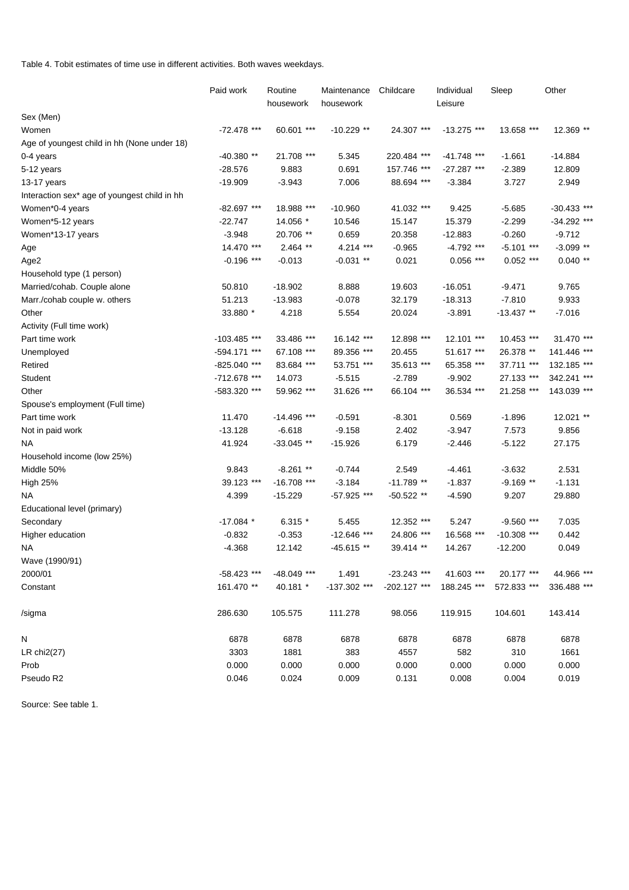Table 4. Tobit estimates of time use in different activities. Both waves weekdays.

|                                              | Paid work      | Routine<br>housework | Maintenance<br>housework | Childcare     | Individual<br>Leisure | Sleep         | Other         |
|----------------------------------------------|----------------|----------------------|--------------------------|---------------|-----------------------|---------------|---------------|
| Sex (Men)                                    |                |                      |                          |               |                       |               |               |
| Women                                        | -72.478 ***    | 60.601 ***           | $-10.229$ **             | 24.307 ***    | $-13.275$ ***         | 13.658 ***    | 12.369 **     |
| Age of youngest child in hh (None under 18)  |                |                      |                          |               |                       |               |               |
| 0-4 years                                    | $-40.380**$    | 21.708 ***           | 5.345                    | 220.484 ***   | $-41.748$ ***         | $-1.661$      | $-14.884$     |
| 5-12 years                                   | $-28.576$      | 9.883                | 0.691                    | 157.746 ***   | $-27.287$ ***         | $-2.389$      | 12.809        |
| 13-17 years                                  | $-19.909$      | $-3.943$             | 7.006                    | 88.694 ***    | $-3.384$              | 3.727         | 2.949         |
| Interaction sex* age of youngest child in hh |                |                      |                          |               |                       |               |               |
| Women*0-4 years                              | $-82.697$ ***  | 18.988 ***           | $-10.960$                | 41.032 ***    | 9.425                 | $-5.685$      | $-30.433$ *** |
| Women*5-12 years                             | $-22.747$      | 14.056 *             | 10.546                   | 15.147        | 15.379                | $-2.299$      | -34.292 ***   |
| Women*13-17 years                            | $-3.948$       | 20.706 **            | 0.659                    | 20.358        | $-12.883$             | $-0.260$      | $-9.712$      |
| Age                                          | 14.470 ***     | $2.464$ **           | 4.214 ***                | $-0.965$      | $-4.792$ ***          | $-5.101$ ***  | $-3.099$ **   |
| Age2                                         | $-0.196$ ***   | $-0.013$             | $-0.031$ **              | 0.021         | $0.056$ ***           | $0.052$ ***   | $0.040**$     |
| Household type (1 person)                    |                |                      |                          |               |                       |               |               |
| Married/cohab. Couple alone                  | 50.810         | $-18.902$            | 8.888                    | 19.603        | $-16.051$             | $-9.471$      | 9.765         |
| Marr./cohab couple w. others                 | 51.213         | $-13.983$            | $-0.078$                 | 32.179        | $-18.313$             | $-7.810$      | 9.933         |
| Other                                        | 33.880 *       | 4.218                | 5.554                    | 20.024        | $-3.891$              | $-13.437$ **  | $-7.016$      |
| Activity (Full time work)                    |                |                      |                          |               |                       |               |               |
| Part time work                               | $-103.485$ *** | 33.486 ***           | 16.142 ***               | 12.898 ***    | 12.101 ***            | 10.453 ***    | 31.470 ***    |
| Unemployed                                   | -594.171 ***   | 67.108 ***           | 89.356 ***               | 20.455        | 51.617 ***            | 26.378 **     | 141.446 ***   |
| Retired                                      | -825.040 ***   | 83.684 ***           | 53.751 ***               | 35.613 ***    | 65.358 ***            | 37.711 ***    | 132.185 ***   |
| Student                                      | -712.678 ***   | 14.073               | $-5.515$                 | $-2.789$      | $-9.902$              | 27.133 ***    | 342.241 ***   |
| Other                                        | -583.320 ***   | 59.962 ***           | 31.626 ***               | 66.104 ***    | 36.534 ***            | 21.258 ***    | 143.039 ***   |
| Spouse's employment (Full time)              |                |                      |                          |               |                       |               |               |
| Part time work                               | 11.470         | $-14.496$ ***        | $-0.591$                 | $-8.301$      | 0.569                 | $-1.896$      | 12.021 **     |
| Not in paid work                             | $-13.128$      | $-6.618$             | $-9.158$                 | 2.402         | $-3.947$              | 7.573         | 9.856         |
| <b>NA</b>                                    | 41.924         | $-33.045$ **         | $-15.926$                | 6.179         | $-2.446$              | $-5.122$      | 27.175        |
| Household income (low 25%)                   |                |                      |                          |               |                       |               |               |
| Middle 50%                                   | 9.843          | $-8.261$ **          | $-0.744$                 | 2.549         | $-4.461$              | $-3.632$      | 2.531         |
| <b>High 25%</b>                              | 39.123 ***     | $-16.708$ ***        | $-3.184$                 | $-11.789**$   | $-1.837$              | $-9.169$ **   | $-1.131$      |
| <b>NA</b>                                    | 4.399          | $-15.229$            | -57.925 ***              | $-50.522**$   | $-4.590$              | 9.207         | 29.880        |
| Educational level (primary)                  |                |                      |                          |               |                       |               |               |
| Secondary                                    | $-17.084$ *    | $6.315*$             | 5.455                    | 12.352 ***    | 5.247                 | $-9.560$ ***  | 7.035         |
| Higher education                             | $-0.832$       | $-0.353$             | $-12.646$ ***            | 24.806 ***    | 16.568 ***            | $-10.308$ *** | 0.442         |
| ΝA                                           | $-4.368$       | 12.142               | $-45.615**$              | 39.414 **     | 14.267                | $-12.200$     | 0.049         |
| Wave (1990/91)                               |                |                      |                          |               |                       |               |               |
| 2000/01                                      | $-58.423$ ***  | -48.049 ***          | 1.491                    | $-23.243$ *** | 41.603 ***            | 20.177 ***    | 44.966 ***    |
| Constant                                     | 161.470 **     | 40.181 *             | -137.302 ***             | -202.127 ***  | 188.245 ***           | 572.833 ***   | 336.488 ***   |
| /sigma                                       | 286.630        | 105.575              | 111.278                  | 98.056        | 119.915               | 104.601       | 143.414       |
| N                                            | 6878           | 6878                 | 6878                     | 6878          | 6878                  | 6878          | 6878          |
| LR $chi2(27)$                                | 3303           | 1881                 | 383                      | 4557          | 582                   | 310           | 1661          |
| Prob                                         | 0.000          | 0.000                | 0.000                    | 0.000         | 0.000                 | 0.000         | 0.000         |
| Pseudo R2                                    | 0.046          | 0.024                | 0.009                    | 0.131         | 0.008                 | 0.004         | 0.019         |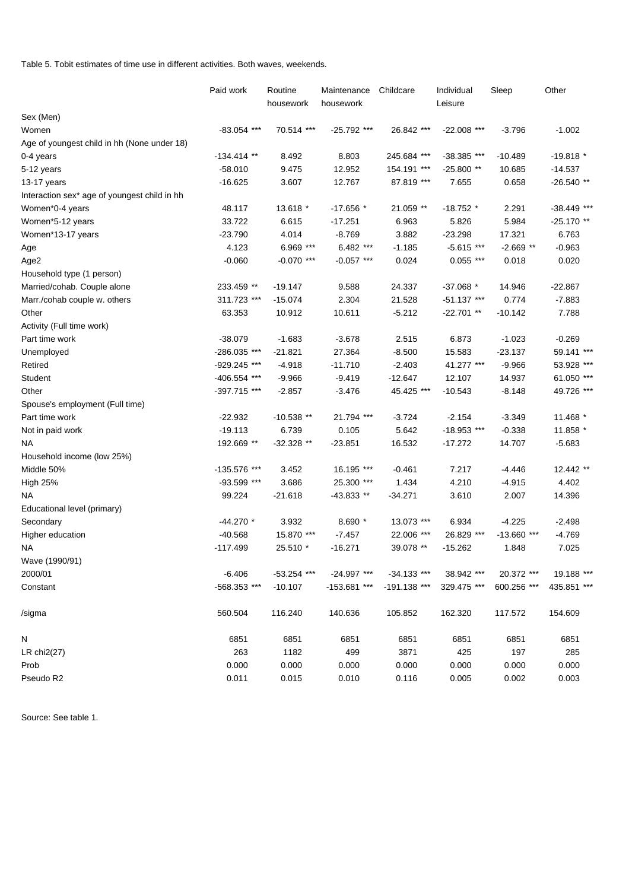Table 5. Tobit estimates of time use in different activities. Both waves, weekends.

|                                              | Paid work                | Routine       | Maintenance   | Childcare     | Individual    | Sleep         | Other       |
|----------------------------------------------|--------------------------|---------------|---------------|---------------|---------------|---------------|-------------|
|                                              |                          | housework     | housework     |               | Leisure       |               |             |
| Sex (Men)                                    |                          |               |               |               |               |               |             |
| Women                                        | $-83.054$ ***            | 70.514 ***    | $-25.792$ *** | 26.842 ***    | $-22.008$ *** | $-3.796$      | $-1.002$    |
| Age of youngest child in hh (None under 18)  |                          |               |               |               |               |               |             |
| 0-4 years                                    | $-134.414$ **            | 8.492         | 8.803         | 245.684 ***   | $-38.385$ *** | $-10.489$     | $-19.818*$  |
| 5-12 years                                   | $-58.010$                | 9.475         | 12.952        | 154.191 ***   | -25.800 **    | 10.685        | $-14.537$   |
| 13-17 years                                  | $-16.625$                | 3.607         | 12.767        | 87.819 ***    | 7.655         | 0.658         | $-26.540**$ |
| Interaction sex* age of youngest child in hh |                          |               |               |               |               |               |             |
| Women*0-4 years                              | 48.117                   | 13.618 *      | $-17.656*$    | 21.059 **     | $-18.752$ *   | 2.291         | -38.449 *** |
| Women*5-12 years                             | 33.722                   | 6.615         | $-17.251$     | 6.963         | 5.826         | 5.984         | $-25.170**$ |
| Women*13-17 years                            | $-23.790$                | 4.014         | $-8.769$      | 3.882         | $-23.298$     | 17.321        | 6.763       |
| Age                                          | 4.123                    | 6.969 ***     | 6.482 ***     | $-1.185$      | $-5.615$ ***  | $-2.669$ **   | $-0.963$    |
| Age2                                         | $-0.060$                 | $-0.070$ ***  | $-0.057$ ***  | 0.024         | $0.055$ ***   | 0.018         | 0.020       |
| Household type (1 person)                    |                          |               |               |               |               |               |             |
| Married/cohab. Couple alone                  | 233.459 **               | $-19.147$     | 9.588         | 24.337        | $-37.068$ *   | 14.946        | $-22.867$   |
| Marr./cohab couple w. others                 | 311.723 ***              | $-15.074$     | 2.304         | 21.528        | $-51.137$ *** | 0.774         | $-7.883$    |
| Other                                        | 63.353                   | 10.912        | 10.611        | $-5.212$      | $-22.701**$   | $-10.142$     | 7.788       |
| Activity (Full time work)                    |                          |               |               |               |               |               |             |
| Part time work                               | $-38.079$                | $-1.683$      | $-3.678$      | 2.515         | 6.873         | $-1.023$      | $-0.269$    |
| Unemployed                                   | -286.035 ***             | $-21.821$     | 27.364        | $-8.500$      | 15.583        | $-23.137$     | 59.141 ***  |
| Retired                                      | -929.245 ***             | $-4.918$      | $-11.710$     | $-2.403$      | 41.277 ***    | $-9.966$      | 53.928 ***  |
| Student                                      | -406.554 ***             | $-9.966$      | $-9.419$      | $-12.647$     | 12.107        | 14.937        | 61.050 ***  |
| Other                                        | -397.715 ***             | $-2.857$      | $-3.476$      | 45.425 ***    | $-10.543$     | $-8.148$      | 49.726 ***  |
| Spouse's employment (Full time)              |                          |               |               |               |               |               |             |
| Part time work                               | $-22.932$                | $-10.538$ **  | 21.794 ***    | $-3.724$      | $-2.154$      | $-3.349$      | 11.468 *    |
| Not in paid work                             | $-19.113$                | 6.739         | 0.105         | 5.642         | $-18.953$ *** | $-0.338$      | 11.858 *    |
| <b>NA</b>                                    | 192.669 **               | $-32.328**$   | $-23.851$     | 16.532        | $-17.272$     | 14.707        | $-5.683$    |
| Household income (low 25%)                   |                          |               |               |               |               |               |             |
| Middle 50%                                   | -135.576 ***             | 3.452         | 16.195 ***    | $-0.461$      | 7.217         | $-4.446$      | 12.442 **   |
| <b>High 25%</b>                              | -93.599 ***              | 3.686         | 25.300 ***    | 1.434         | 4.210         | $-4.915$      | 4.402       |
| <b>NA</b>                                    | 99.224                   | $-21.618$     | $-43.833**$   | $-34.271$     | 3.610         | 2.007         | 14.396      |
| Educational level (primary)                  |                          |               |               |               |               |               |             |
| Secondary                                    | $-44.270$ *              | 3.932         | 8.690 *       | 13.073 ***    | 6.934         | $-4.225$      | $-2.498$    |
|                                              | $-40.568$                | 15.870 ***    | $-7.457$      | 22.006 ***    | 26.829 ***    | $-13.660$ *** | $-4.769$    |
| Higher education<br><b>NA</b>                | $-117.499$               | 25.510 *      | $-16.271$     | 39.078 **     | $-15.262$     | 1.848         | 7.025       |
|                                              |                          |               |               |               |               |               |             |
| Wave (1990/91)<br>2000/01                    |                          |               |               |               |               | 20.372 ***    |             |
|                                              | $-6.406$<br>-568.353 *** | $-53.254$ *** | -24.997 ***   | $-34.133$ *** | 38.942 ***    |               | 19.188 ***  |
| Constant                                     |                          | $-10.107$     | -153.681 ***  | -191.138 ***  | 329.475 ***   | 600.256 ***   | 435.851 *** |
| /sigma                                       | 560.504                  | 116.240       | 140.636       | 105.852       | 162.320       | 117.572       | 154.609     |
| N                                            | 6851                     | 6851          | 6851          | 6851          | 6851          | 6851          | 6851        |
| LR $chi2(27)$                                | 263                      | 1182          | 499           | 3871          | 425           | 197           | 285         |
| Prob                                         | 0.000                    | 0.000         | 0.000         | 0.000         | 0.000         | 0.000         | 0.000       |
| Pseudo R2                                    | 0.011                    | 0.015         | 0.010         | 0.116         | 0.005         | 0.002         | 0.003       |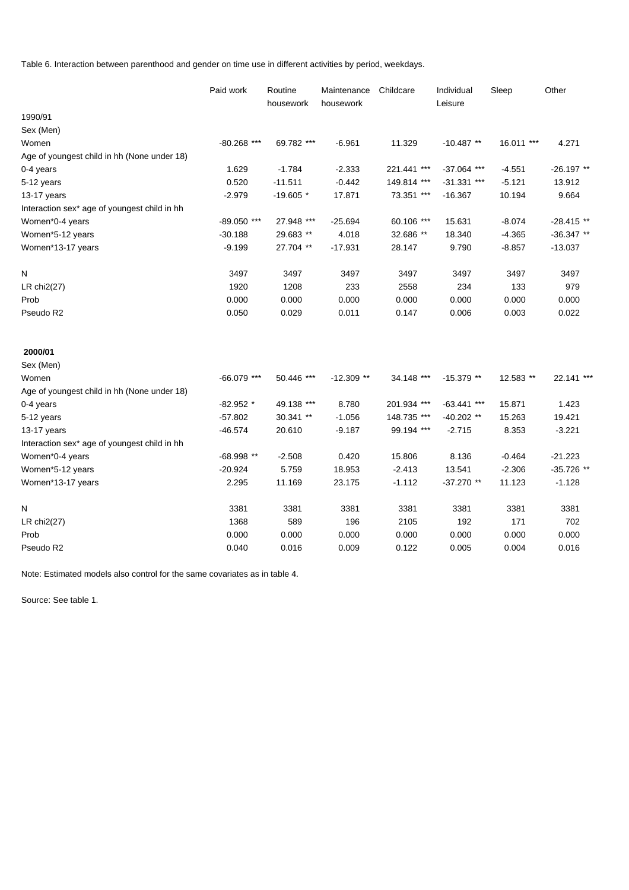Table 6. Interaction between parenthood and gender on time use in different activities by period, weekdays.

|                                              | Paid work     | Routine<br>housework | Maintenance<br>housework | Childcare   | Individual<br>Leisure | Sleep      | Other        |
|----------------------------------------------|---------------|----------------------|--------------------------|-------------|-----------------------|------------|--------------|
| 1990/91                                      |               |                      |                          |             |                       |            |              |
| Sex (Men)                                    |               |                      |                          |             |                       |            |              |
| Women                                        | $-80.268$ *** | 69.782 ***           | $-6.961$                 | 11.329      | $-10.487**$           | 16.011 *** | 4.271        |
| Age of youngest child in hh (None under 18)  |               |                      |                          |             |                       |            |              |
| 0-4 years                                    | 1.629         | $-1.784$             | $-2.333$                 | 221.441 *** | $-37.064$ ***         | $-4.551$   | $-26.197**$  |
| 5-12 years                                   | 0.520         | $-11.511$            | $-0.442$                 | 149.814 *** | $-31.331$ ***         | $-5.121$   | 13.912       |
| 13-17 years                                  | $-2.979$      | $-19.605$ *          | 17.871                   | 73.351 ***  | $-16.367$             | 10.194     | 9.664        |
| Interaction sex* age of youngest child in hh |               |                      |                          |             |                       |            |              |
| Women*0-4 years                              | -89.050 ***   | 27.948 ***           | $-25.694$                | 60.106 ***  | 15.631                | $-8.074$   | $-28.415**$  |
| Women*5-12 years                             | $-30.188$     | 29.683 **            | 4.018                    | 32.686 **   | 18.340                | $-4.365$   | $-36.347**$  |
| Women*13-17 years                            | $-9.199$      | 27.704 **            | $-17.931$                | 28.147      | 9.790                 | $-8.857$   | $-13.037$    |
| Ν                                            | 3497          | 3497                 | 3497                     | 3497        | 3497                  | 3497       | 3497         |
| LR chi2(27)                                  | 1920          | 1208                 | 233                      | 2558        | 234                   | 133        | 979          |
| Prob                                         | 0.000         | 0.000                | 0.000                    | 0.000       | 0.000                 | 0.000      | 0.000        |
| Pseudo R2                                    | 0.050         | 0.029                | 0.011                    | 0.147       | 0.006                 | 0.003      | 0.022        |
| 2000/01                                      |               |                      |                          |             |                       |            |              |
| Sex (Men)                                    |               |                      |                          |             |                       |            |              |
| Women                                        | $-66.079$ *** | 50.446 ***           | $-12.309$ **             | 34.148 ***  | $-15.379$ **          | 12.583 **  | 22.141 ***   |
| Age of youngest child in hh (None under 18)  |               |                      |                          |             |                       |            |              |
| 0-4 years                                    | $-82.952$ *   | 49.138 ***           | 8.780                    | 201.934 *** | $-63.441$ ***         | 15.871     | 1.423        |
| 5-12 years                                   | $-57.802$     | 30.341 **            | $-1.056$                 | 148.735 *** | $-40.202$ **          | 15.263     | 19.421       |
| 13-17 years                                  | $-46.574$     | 20.610               | $-9.187$                 | 99.194 ***  | $-2.715$              | 8.353      | $-3.221$     |
| Interaction sex* age of youngest child in hh |               |                      |                          |             |                       |            |              |
| Women*0-4 years                              | $-68.998**$   | $-2.508$             | 0.420                    | 15.806      | 8.136                 | $-0.464$   | $-21.223$    |
| Women*5-12 years                             | $-20.924$     | 5.759                | 18.953                   | $-2.413$    | 13.541                | $-2.306$   | $-35.726$ ** |
| Women*13-17 years                            | 2.295         | 11.169               | 23.175                   | $-1.112$    | $-37.270$ **          | 11.123     | $-1.128$     |
| Ν                                            | 3381          | 3381                 | 3381                     | 3381        | 3381                  | 3381       | 3381         |
| LR $chi2(27)$                                | 1368          | 589                  | 196                      | 2105        | 192                   | 171        | 702          |
| Prob                                         | 0.000         | 0.000                | 0.000                    | 0.000       | 0.000                 | 0.000      | 0.000        |
| Pseudo R2                                    | 0.040         | 0.016                | 0.009                    | 0.122       | 0.005                 | 0.004      | 0.016        |

Note: Estimated models also control for the same covariates as in table 4.